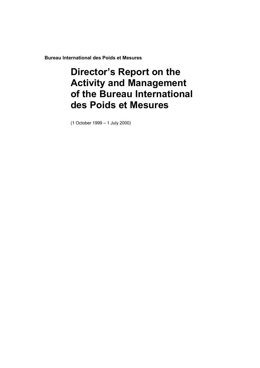**Bureau International des Poids et Mesures**

# **Director's Report on the Activity and Management of the Bureau International des Poids et Mesures**

(1 October 1999 – 1 July 2000)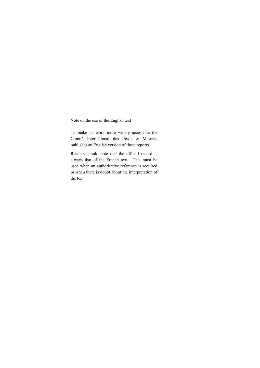Note on the use of the English text

To make its work more widely accessible the Comité International des Poids et Mesures publishes an English version of these reports.

Readers should note that the official record is always that of the French text. This must be used when an authoritative reference is required or when there is doubt about the interpretation of the text.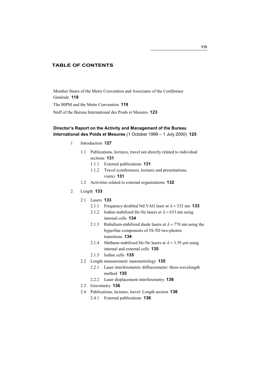## **TABLE OF CONTENTS**

Member States of the Metre Convention and Associates of the Conférence Générale **118** The BIPM and the Metre Convention **119** Staff of the Bureau International des Poids et Mesures **123**

## **Director's Report on the Activity and Management of the Bureau International des Poids et Mesures** (1 October 1999 – 1 July 2000) **125**

- 1 Introduction **127**
	- 1.1 Publications, lectures, travel not directly related to individual sections **131**
		- 1.1.1 External publications **131**
		- 1.1.2 Travel (conferences, lectures and presentations, visits) **131**
	- 1.2 Activities related to external organizations **132**
- 2 Length **133**
	- 2.1 Lasers **133**
		- 2.1.1 Frequency-doubled Nd:YAG laser at  $\lambda \approx 532$  nm **133**
		- 2.1.2 Iodine-stabilized He-Ne lasers at  $\lambda \approx 633$  nm using internal cells **134**
		- 2.1.3 Rubidium-stabilized diode lasers at  $\lambda \approx 778$  nm using the hyperfine components of 5S-5D two-photon transitions **134**
		- 2.1.4 Methane-stabilized He-Ne lasers at  $\lambda \approx 3.39$  um using internal and external cells **135**
		- 2.1.5 Iodine cells **135**
	- 2.2 Length measurement: nanometrology **135**
		- 2.2.1 Laser interferometric diffractometer: three-wavelength method **135**
		- 2.2.2 Laser displacement interferometry **136**
	- 2.3 Gravimetry **136**
	- 2.4 Publications, lectures, travel: Length section **136**
		- 2.4.1 External publications **136**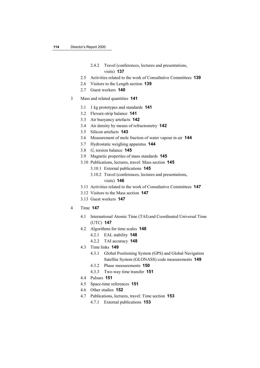## 2.4.2 Travel (conferences, lectures and presentations, visits) **137**

- 2.5 Activities related to the work of Consultative Committees **139**
- 2.6 Visitors to the Length section **139**
- 2.7 Guest workers **140**
- 3 Mass and related quantities **141**
	- 3.1 1 kg prototypes and standards **141**
	- 3.2 Flexure-strip balance **141**
	- 3.3 Air buoyancy artefacts **142**
	- 3.4 Air density by means of refractometry **142**
	- 3.5 Silicon artefacts **143**
	- 3.6 Measurement of mole fraction of water vapour in air **144**
	- 3.7 Hydrostatic weighing apparatus **144**
	- 3.8 *G*, torsion balance **145**
	- 3.9 Magnetic properties of mass standards **145**
	- 3.10 Publications, lectures, travel: Mass section **145**
		- 3.10.1 External publications **145**
		- 3.10.2 Travel (conferences, lectures and presentations,

## visits) **146**

- 3.11 Activities related to the work of Consultative Committees **147**
- 3.12 Visitors to the Mass section **147**
- 3.13 Guest workers **147**
- 4 Time **147**
	- 4.1 International Atomic Time (TAI) and Coordinated Universal Time (UTC) **147**
	- 4.2 Algorithms for time scales **148**
		- 4.2.1 EAL stability **148**
		- 4.2.2 TAI accuracy **148**
	- 4.3 Time links **149**
		- 4.3.1 Global Positioning System (GPS) and Global Navigation Satellite System (GLONASS) code measurements **149**
		- 4.3.2 Phase measurements **150**
		- 4.3.3 Two-way time transfer **151**
	- 4.4 Pulsars **151**
	- 4.5 Space-time references **151**
	- 4.6 Other studies **152**
	- 4.7 Publications, lectures, travel: Time section **153**
		- 4.7.1 External publications **153**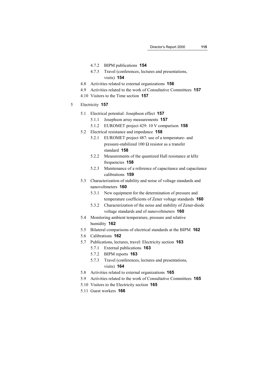- 4.7.2 BIPM publications **154**
- 4.7.3 Travel (conferences, lectures and presentations, visits) **154**
- 4.8 Activities related to external organizations **156**
- 4.9 Activities related to the work of Consultative Committees **157**
- 4.10 Visitors to the Time section **157**
- 5 Electricity **157**
	- 5.1 Electrical potential: Josephson effect **157**
		- 5.1.1 Josephson array measurements **157**
		- 5.1.2 EUROMET project 429: 10 V comparison **158**
	- 5.2 Electrical resistance and impedance **158**
		- 5.2.1 EUROMET project 487: use of a temperature- and pressure-stabilized 100  $\Omega$  resistor as a transfer standard **158**
		- 5.2.2 Measurements of the quantized Hall resistance at kHz frequencies **158**
		- 5.2.3 Maintenance of a reference of capacitance and capacitance calibrations **159**
	- 5.3 Characterization of stability and noise of voltage standards and nanovoltmeters **160**
		- 5.3.1 New equipment for the determination of pressure and temperature coefficients of Zener voltage standards **160**
		- 5.3.2 Characterization of the noise and stability of Zener-diode voltage standards and of nanovoltmeters **160**
	- 5.4 Monitoring ambient temperature, pressure and relative humidity **162**
	- 5.5 Bilateral comparisons of electrical standards at the BIPM **162**
	- 5.6 Calibrations **162**
	- 5.7 Publications, lectures, travel: Electricity section **163**
		- 5.7.1 External publications **163**
		- 5.7.2 BIPM reports **163**
		- 5.7.3 Travel (conferences, lectures and presentations, visits) **164**
	- 5.8 Activities related to external organizations **165**
	- 5.9 Activities related to the work of Consultative Committees **165**
	- 5.10 Visitors to the Electricity section **165**
	- 5.11 Guest workers **166**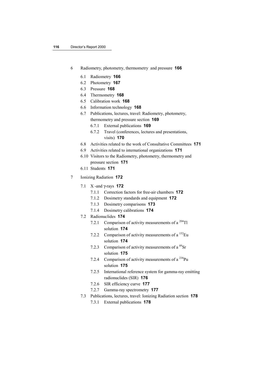- 6 Radiometry, photometry, thermometry and pressure **166**
	- 6.1 Radiometry **166**
	- 6.2 Photometry **167**
	- 6.3 Pressure **168**
	- 6.4 Thermometry **168**
	- 6.5 Calibration work **168**
	- 6.6 Information technology **168**
	- 6.7 Publications, lectures, travel: Radiometry, photometry, thermometry and pressure section **169**
		- 6.7.1 External publications **169**
		- 6.7.2 Travel (conferences, lectures and presentations, visits) **170**
	- 6.8 Activities related to the work of Consultative Committees **171**
	- 6.9 Activities related to international organizations **171**
	- 6.10 Visitors to the Radiometry, photometry, thermometry and pressure section **171**
	- 6.11 Students **171**
- 7 Ionizing Radiation **172**
	- 7.1 X -and γ-rays **172**
		- 7.1.1 Correction factors for free-air chambers **172**
		- 7.1.2 Dosimetry standards and equipment **172**
		- 7.1.3 Dosimetry comparisons **173**
		- 7.1.4 Dosimetry calibrations **174**
	- 7.2 Radionuclides **174**
		- 7.2.1 Comparison of activity measurements of a  $^{204}$ Tl solution **174**
		- 7.2.2 Comparison of activity measurements of a  ${}^{152}$ Eu solution **174**
		- 7.2.3 Comparison of activity measurements of a  ${}^{89}Sr$ solution **175**
		- 7.2.4 Comparison of activity measurements of  $a^{238}Pu$ solution **175**
		- 7.2.5 International reference system for gamma-ray emitting radionuclides (SIR) **176**
		- 7.2.6 SIR efficiency curve **177**
		- 7.2.7 Gamma-ray spectrometry **177**
	- 7.3 Publications, lectures, travel: Ionizing Radiation section **178**
		- 7.3.1 External publications **178**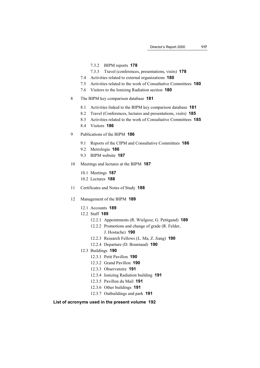- 7.3.2 BIPM reports **178**
- 7.3.3 Travel (conferences, presentations, visits) **178**
- 7.4 Activities related to external organizations **180**
- 7.5 Activities related to the work of Consultative Committees **180**
- 7.6 Visitors to the Ionizing Radiation section **180**
- 8 The BIPM key comparison database **181**
	- 8.1 Activities linked to the BIPM key comparison database **181**
	- 8.2 Travel (Conferences, lectures and presentations, visits) **185**
	- 8.3 Activities related to the work of Consultative Committees **185**
	- 8.4 Visitors **186**
- 9 Publications of the BIPM **186**
	- 9.1 Reports of the CIPM and Consultative Committees **186**
	- 9.2 Metrologia **186**
	- 9.3 BIPM website **187**
- 10 Meetings and lectures at the BIPM **187**
	- 10.1 Meetings **187**
	- 10.2 Lectures **188**
- 11 Certificates and Notes of Study **188**
- 12 Management of the BIPM **189**
	- 12.1 Accounts **189**
	- 12.2 Staff **189**
		- 12.2.1 Appointments (R. Wielgosz, G. Petitgand) **189**
		- 12.2.2 Promotions and change of grade (R. Felder,
			- J. Hostache) **190**
		- 12.2.3 Research Fellows (L. Ma, Z. Jiang) **190**
		- 12.2.4 Departure (D. Bournaud) **190**
	- 12.3 Buildings **190**
		- 12.3.1 Petit Pavillon **190**
		- 12.3.2 Grand Pavillon **190**
		- 12.3.3 Observatoire **191**
		- 12.3.4 Ionizing Radiation building **191**
		- 12.3.5 Pavillon du Mail **191**
		- 12.3.6 Other buildings **191**
		- 12.3.7 Outbuildings and park **191**

#### **List of acronyms used in the present volume 192**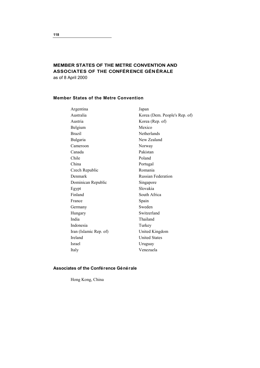## **MEMBER STATES OF THE METRE CONVENTION AND ASSOCIATES OF THE CONFÉRENCE GÉNÉRALE** as of 8 April 2000

## **Member States of the Metre Convention**

| Argentina              | Japan                         |
|------------------------|-------------------------------|
| Australia              | Korea (Dem. People's Rep. of) |
| Austria                | Korea (Rep. of)               |
| Belgium                | Mexico                        |
| <b>Brazil</b>          | <b>Netherlands</b>            |
| <b>Bulgaria</b>        | New Zealand                   |
| Cameroon               | Norway                        |
| Canada                 | Pakistan                      |
| Chile                  | Poland                        |
| China                  | Portugal                      |
| Czech Republic         | Romania                       |
| Denmark                | <b>Russian Federation</b>     |
| Dominican Republic     | Singapore                     |
| Egypt                  | Slovakia                      |
| Finland                | South Africa                  |
| France                 | Spain                         |
| Germany                | Sweden                        |
| Hungary                | Switzerland                   |
| India                  | Thailand                      |
| Indonesia              | Turkey                        |
| Iran (Islamic Rep. of) | United Kingdom                |
| Ireland                | <b>United States</b>          |
| Israel                 | Uruguay                       |
| Italy                  | Venezuela                     |
|                        |                               |

## **Associates of the Conférence Générale**

Hong Kong, China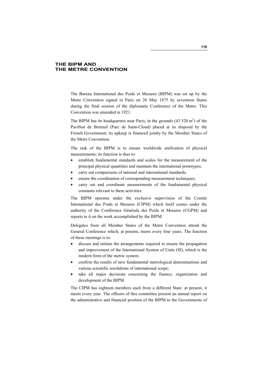## **THE BIPM AND THE METRE CONVENTION**

The Bureau International des Poids et Mesures (BIPM) was set up by the Metre Convention signed in Paris on 20 May 1875 by seventeen States during the final session of the diplomatic Conference of the Metre. This Convention was amended in 1921.

The BIPM has its headquarters near Paris, in the grounds  $(43520 \text{ m}^2)$  of the Pavillon de Breteuil (Parc de Saint-Cloud) placed at its disposal by the French Government; its upkeep is financed jointly by the Member States of the Metre Convention.

The task of the BIPM is to ensure worldwide unification of physical measurements; its function is thus to:

- establish fundamental standards and scales for the measurement of the principal physical quantities and maintain the international prototypes;
- carry out comparisons of national and international standards;
- ensure the coordination of corresponding measurement techniques;
- carry out and coordinate measurements of the fundamental physical constants relevant to these activities.

The BIPM operates under the exclusive supervision of the Comité International des Poids et Mesures (CIPM) which itself comes under the authority of the Conférence Générale des Poids et Mesures (CGPM) and reports to it on the work accomplished by the BIPM.

Delegates from all Member States of the Metre Convention attend the General Conference which, at present, meets every four years. The function of these meetings is to:

- discuss and initiate the arrangements required to ensure the propagation and improvement of the International System of Units (SI), which is the modern form of the metric system;
- confirm the results of new fundamental metrological determinations and various scientific resolutions of international scope;
- take all major decisions concerning the finance, organization and development of the BIPM.

The CIPM has eighteen members each from a different State: at present, it meets every year. The officers of this committee present an annual report on the administrative and financial position of the BIPM to the Governments of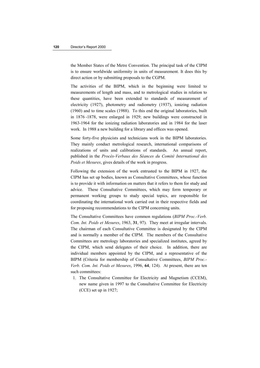the Member States of the Metre Convention. The principal task of the CIPM is to ensure worldwide uniformity in units of measurement. It does this by direct action or by submitting proposals to the CGPM.

The activities of the BIPM, which in the beginning were limited to measurements of length and mass, and to metrological studies in relation to these quantities, have been extended to standards of measurement of electricity (1927), photometry and radiometry (1937), ionizing radiation (1960) and to time scales (1988). To this end the original laboratories, built in 1876 -1878, were enlarged in 1929; new buildings were constructed in 1963-1964 for the ionizing radiation laboratories and in 1984 for the laser work. In 1988 a new building for a library and offices was opened.

Some forty-five physicists and technicians work in the BIPM laboratories. They mainly conduct metrological research, international comparisons of realizations of units and calibrations of standards. An annual report, published in the *Procès-Verbaux des Séances du Comité International des Poids et Mesures*, gives details of the work in progress.

Following the extension of the work entrusted to the BIPM in 1927, the CIPM has set up bodies, known as Consultative Committees, whose function is to provide it with information on matters that it refers to them for study and advice. These Consultative Committees, which may form temporary or permanent working groups to study special topics, are responsible for coordinating the international work carried out in their respective fields and for proposing recommendations to the CIPM concerning units.

The Consultative Committees have common regulations (*BIPM Proc.-Verb. Com. Int. Poids et Mesures*, 1963, **31**, 97). They meet at irregular intervals. The chairman of each Consultative Committee is designated by the CIPM and is normally a member of the CIPM. The members of the Consultative Committees are metrology laboratories and specialized institutes, agreed by the CIPM, which send delegates of their choice. In addition, there are individual members appointed by the CIPM, and a representative of the BIPM (Criteria for membership of Consultative Committees, *BIPM Proc.- Verb. Com. Int. Poids et Mesures*, 1996, **64**, 124). At present, there are ten such committees:

 1. The Consultative Committee for Electricity and Magnetism (CCEM), new name given in 1997 to the Consultative Committee for Electricity (CCE) set up in 1927;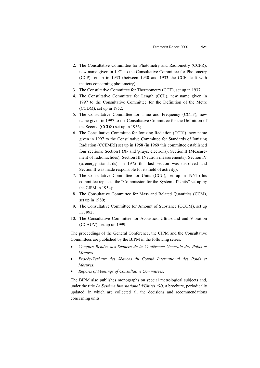- 2. The Consultative Committee for Photometry and Radiometry (CCPR), new name given in 1971 to the Consultative Committee for Photometry (CCP) set up in 1933 (between 1930 and 1933 the CCE dealt with matters concerning photometry);
- 3. The Consultative Committee for Thermometry (CCT), set up in 1937;
- 4. The Consultative Committee for Length (CCL), new name given in 1997 to the Consultative Committee for the Definition of the Metre (CCDM), set up in 1952;
- 5. The Consultative Committee for Time and Frequency (CCTF), new name given in 1997 to the Consultative Committee for the Definition of the Second (CCDS) set up in 1956;
- 6. The Consultative Committee for Ionizing Radiation (CCRI), new name given in 1997 to the Consultative Committee for Standards of Ionizing Radiation (CCEMRI) set up in 1958 (in 1969 this committee established four sections: Section I (X- and γ-rays, electrons), Section II (Measurement of radionuclides), Section III (Neutron measurements), Section IV (α-energy standards); in 1975 this last section was dissolved and Section II was made responsible for its field of activity);
- 7. The Consultative Committee for Units (CCU), set up in 1964 (this committee replaced the "Commission for the System of Units" set up by the CIPM in 1954);
- 8. The Consultative Committee for Mass and Related Quantities (CCM), set up in 1980;
- 9. The Consultative Committee for Amount of Substance (CCQM), set up in 1993;
- 10. The Consultative Committee for Acoustics, Ultrasound and Vibration (CCAUV), set up un 1999.

The proceedings of the General Conference, the CIPM and the Consultative Committees are published by the BIPM in the following series:

- *Comptes Rendus des Séances de la Conférence Générale des Poids et Mesures*;
- *Procès-Verbaux des Séances du Comité International des Poids et Mesures*;
- *Reports of Meetings of Consultative Committees*.

The BIPM also publishes monographs on special metrological subjects and, under the title *Le Système International d'Unités (SI)*, a brochure, periodically updated, in which are collected all the decisions and recommendations concerning units.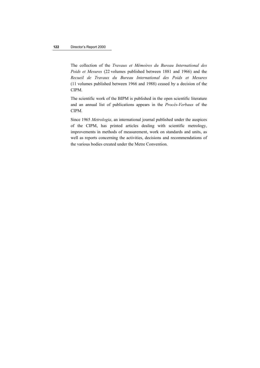The collection of the *Travaux et Mémoires du Bureau International des Poids et Mesures* (22 volumes published between 1881 and 1966) and the *Recueil de Travaux du Bureau International des Poids et Mesures* (11 volumes published between 1966 and 1988) ceased by a decision of the CIPM.

The scientific work of the BIPM is published in the open scientific literature and an annual list of publications appears in the *Procès-Verbaux* of the CIPM.

Since 1965 *Metrologia*, an international journal published under the auspices of the CIPM, has printed articles dealing with scientific metrology, improvements in methods of measurement, work on standards and units, as well as reports concerning the activities, decisions and recommendations of the various bodies created under the Metre Convention.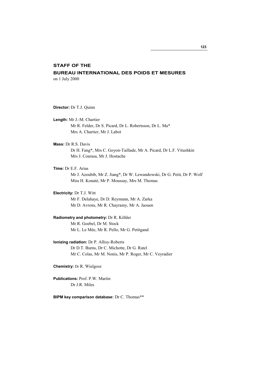## **STAFF OF THE**

## **BUREAU INTERNATIONAL DES POIDS ET MESURES**

on 1 July 2000

**Director:** Dr T.J. Quinn

**Length:** Mr J.-M. Chartier Mr R. Felder, Dr S. Picard, Dr L. Robertsson, Dr L. Ma\* Mrs A. Chartier, Mr J. Labot

**Mass:** Dr R.S. Davis Dr H. Fang\*, Mrs C. Goyon-Taillade, Mr A. Picard, Dr L.F. Vitushkin Mrs J. Coarasa, Mr J. Hostache

**Time:** Dr E.F. Arias Mr J. Azoubib, Mr Z. Jiang\*, Dr W. Lewandowski, Dr G. Petit, Dr P. Wolf Miss H. Konaté, Mr P. Moussay, Mrs M. Thomas

**Electricity:** Dr T.J. Witt Mr F. Delahaye, Dr D. Reymann, Mr A. Zarka Mr D. Avrons, Mr R. Chayramy, Mr A. Jaouen

**Radiometry and photometry:** Dr R. Köhler Mr R. Goebel, Dr M. Stock Mr L. Le Mée, Mr R. Pello, Mr G. Petitgand

**Ionizing radiation:** Dr P. Allisy-Roberts Dr D.T. Burns, Dr C. Michotte, Dr G. Ratel Mr C. Colas, Mr M. Nonis, Mr P. Roger, Mr C. Veyradier

**Chemistry:** Dr R. Wielgosz

**Publications:** Prof. P.W. Martin Dr J.R. Miles

**BIPM key comparison database:** Dr C. Thomas\*\*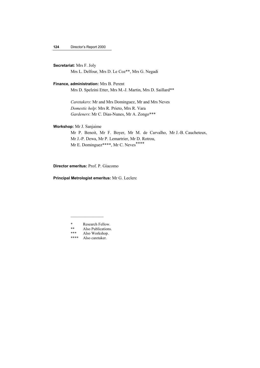## **Secretariat:** Mrs F. Joly

Mrs L. Delfour, Mrs D. Le Coz\*\*, Mrs G. Negadi

#### **Finance, administration:** Mrs B. Perent

Mrs D. Spelzini Etter, Mrs M.-J. Martin, Mrs D. Saillard\*\*

*Caretakers*: Mr and Mrs Dominguez, Mr and Mrs Neves *Domestic help*: Mrs R. Prieto, Mrs R. Vara *Gardeners*: Mr C. Dias-Nunes, Mr A. Zongo\*\*\*

## **Workshop:** Mr J. Sanjaime

Mr P. Benoit, Mr F. Boyer, Mr M. de Carvalho, Mr J.-B. Caucheteux, Mr J.-P. Dewa, Mr P. Lemartrier, Mr D. Rotrou, Mr E. Dominguez\*\*\*\*, Mr C. Neves<sup>\*\*\*\*</sup>

**Director emeritus:** Prof. P. Giacomo

**Principal Metrologist emeritus:** Mr G. Leclerc

 $\mathcal{L}=\mathcal{L}^{\mathcal{L}}$ 

<sup>\*</sup> Research Fellow.<br>\*\* Also Publications \*\* Also Publications.<br>\*\*\* Also Workshop

<sup>\*\*\*</sup> Also Workshop.<br>\*\*\*\* Also caretaker

Also caretaker.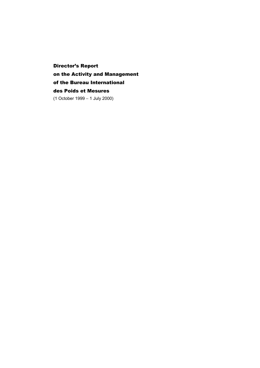Director's Report on the Activity and Management of the Bureau International des Poids et Mesures (1 October 1999 − 1 July 2000)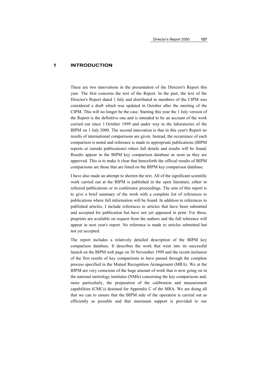#### **1 INTRODUCTION**

There are two innovations in the presentation of the Director's Report this year. The first concerns the text of the Report. In the past, the text of the Director's Report dated 1 July and distributed to members of the CIPM was considered a draft which was updated in October after the meeting of the CIPM. This will no longer be the case. Starting this year the 1 July version of the Report is the definitive one and is intended to be an account of the work carried out since 1 October 1999 and under way in the laboratories of the BIPM on 1 July 2000. The second innovation is that in this year's Report no results of international comparisons are given. Instead, the occurrence of each comparison is noted and reference is made to appropriate publications (BIPM reports or outside publications) where full details and results will be found. Results appear in the BIPM key comparison database as soon as they are approved. This is to make it clear that henceforth the official results of BIPM comparisons are those that are listed on the BIPM key comparison database.

I have also made an attempt to shorten the text. All of the significant scientific work carried out at the BIPM is published in the open literature, either in refereed publications or in conference proceedings. The aim of this report is to give a brief summary of the work with a complete list of references to publications where full information will be found. In addition to references to published articles, I include references to articles that have been submitted and accepted for publication but have not yet appeared in print. For these, preprints are available on request from the authors and the full reference will appear in next year's report. No reference is made to articles submitted but not yet accepted.

The report includes a relatively detailed description of the BIPM key comparison database. It describes the work that went into its successful launch on the BIPM web page on 30 November 1999 and the recent inclusion of the first results of key comparisons to have passed through the complete process specified in the Mutual Recognition Arrangement (MRA). We at the BIPM are very conscious of the huge amount of work that is now going on in the national metrology institutes (NMIs) concerning the key comparisons and, more particularly, the preparation of the calibration and measurement capabilities (CMCs) destined for Appendix C of the MRA. We are doing all that we can to ensure that the BIPM side of the operation is carried out as efficiently as possible and that maximum support is provided to our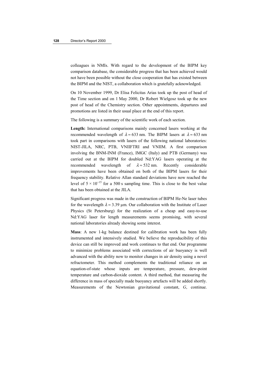colleagues in NMIs. With regard to the development of the BIPM key comparison database, the considerable progress that has been achieved would not have been possible without the close cooperation that has existed between the BIPM and the NIST, a collaboration which is gratefully acknowledged.

On 10 November 1999, Dr Elisa Felicitas Arias took up the post of head of the Time section and on 1 May 2000, Dr Robert Wielgosz took up the new post of head of the Chemistry section. Other appointments, departures and promotions are listed in their usual place at the end of this report.

The following is a summary of the scientific work of each section.

**Length:** International comparisons mainly concerned lasers working at the recommended wavelength of  $\lambda \approx 633$  nm. The BIPM lasers at  $\lambda \approx 633$  nm took part in comparisons with lasers of the following national laboratories: NIST-JILA, NRC, PTB, VNIIFTRI and VNIIM. A first comparison involving the BNM-INM (France), IMGC (Italy) and PTB (Germany) was carried out at the BIPM for doubled Nd:YAG lasers operating at the recommended wavelength of  $\lambda \approx 532$  nm. Recently considerable improvements have been obtained on both of the BIPM lasers for their frequency stability. Relative Allan standard deviations have now reached the level of  $5 \times 10^{-15}$  for a 500 s sampling time. This is close to the best value that has been obtained at the JILA.

Significant progress was made in the construction of BIPM He-Ne laser tubes for the wavelength  $\lambda \approx 3.39$  um. Our collaboration with the Institute of Laser Physics (St Petersburg) for the realization of a cheap and easy-to-use Nd:YAG laser for length measurements seems promising, with several national laboratories already showing some interest.

**Mass**: A new 1-kg balance destined for calibration work has been fully instrumented and intensively studied. We believe the reproducibility of this device can still be improved and work continues to that end. Our programme to minimize problems associated with corrections of air buoyancy is well advanced with the ability now to monitor changes in air density using a novel refractometer. This method complements the traditional reliance on an equation-of-state whose inputs are temperature, pressure, dew-point temperature and carbon-dioxide content. A third method, that measuring the difference in mass of specially made buoyancy artefacts will be added shortly. Measurements of the Newtonian gravitational constant, *G*, continue.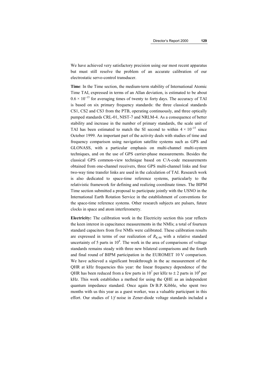We have achieved very satisfactory precision using our most recent apparatus but must still resolve the problem of an accurate calibration of our electrostatic servo-control transducer.

**Time**: In the Time section, the medium-term stability of International Atomic Time TAI, expressed in terms of an Allan deviation, is estimated to be about  $0.6 \times 10^{-15}$  for averaging times of twenty to forty days. The accuracy of TAI is based on six primary frequency standards: the three classical standards CS1, CS2 and CS3 from the PTB, operating continuously, and three optically pumped standards CRL-01, NIST-7 and NRLM-4. As a consequence of better stability and increase in the number of primary standards, the scale unit of TAI has been estimated to match the SI second to within  $4 \times 10^{-15}$  since October 1999. An important part of the activity deals with studies of time and frequency comparison using navigation satellite systems such as GPS and GLONASS, with a particular emphasis on multi-channel multi-system techniques, and on the use of GPS carrier-phase measurements. Besides the classical GPS common-view technique based on C/A-code measurements obtained from one-channel receivers, three GPS multi-channel links and four two-way time transfer links are used in the calculation of TAI. Research work is also dedicated to space-time reference systems, particularly to the relativistic framework for defining and realizing coordinate times. The BIPM Time section submitted a proposal to participate jointly with the USNO in the International Earth Rotation Service in the establishment of conventions for the space-time reference systems. Other research subjects are pulsars, future clocks in space and atom interferometry.

**Electricity:** The calibration work in the Electricity section this year reflects the keen interest in capacitance measurements in the NMIs; a total of fourteen standard capacitors from five NMIs were calibrated. These calibration results are expressed in terms of our realization of  $R_{K-90}$  with a relative standard uncertainty of 5 parts in  $10^8$ . The work in the area of comparisons of voltage standards remains steady with three new bilateral comparisons and the fourth and final round of BIPM participation in the EUROMET 10 V comparison. We have achieved a significant breakthrough in the ac measurement of the QHR at kHz frequencies this year: the linear frequency dependence of the QHR has been reduced from a few parts in  $10^7$  per kHz to  $\pm$  2 parts in  $10^8$  per kHz. This work establishes a method for using the QHE as an independent quantum impedance standard. Once again Dr B.P. Kibble, who spent two months with us this year as a guest worker, was a valuable participant in this effort. Our studies of 1/*f* noise in Zener-diode voltage standards included a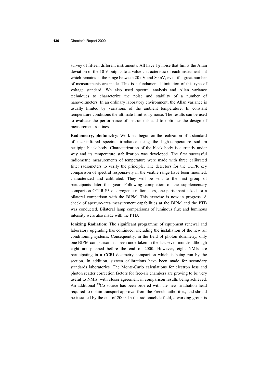survey of fifteen different instruments. All have 1/*f* noise that limits the Allan deviation of the 10 V outputs to a value characteristic of each instrument but which remains in the range between 20 nV and 80 nV, even if a great number of measurements are made. This is a fundamental limitation of this type of voltage standard. We also used spectral analysis and Allan variance techniques to characterize the noise and stability of a number of nanovoltmeters. In an ordinary laboratory environment, the Allan variance is usually limited by variations of the ambient temperature. In constant temperature conditions the ultimate limit is 1/*f* noise. The results can be used to evaluate the performance of instruments and to optimize the design of measurement routines.

**Radiometry, photometry:** Work has begun on the realization of a standard of near-infrared spectral irradiance using the high-temperature sodium heatpipe black body. Characterization of the black body is currently under way and its temperature stabilization was developed. The first successful radiometric measurements of temperature were made with three calibrated filter radiometers to verify the principle. The detectors for the CCPR key comparison of spectral responsivity in the visible range have been mounted, characterized and calibrated. They will be sent to the first group of participants later this year. Following completion of the supplementary comparison CCPR-S3 of cryogenic radiometers, one participant asked for a bilateral comparison with the BIPM. This exercise is now in progress. A check of aperture-area measurement capabilities at the BIPM and the PTB was conducted. Bilateral lamp comparisons of luminous flux and luminous intensity were also made with the PTB.

**Ionizing Radiation:** The significant programme of equipment renewal and laboratory upgrading has continued, including the installation of the new air conditioning systems. Consequently, in the field of photon dosimetry, only one BIPM comparison has been undertaken in the last seven months although eight are planned before the end of 2000. However, eight NMIs are participating in a CCRI dosimetry comparison which is being run by the section. In addition, sixteen calibrations have been made for secondary standards laboratories. The Monte-Carlo calculations for electron loss and photon scatter correction factors for free-air chambers are proving to be very useful to NMIs, with closer agreement in comparison results being achieved. An additional <sup>60</sup>Co source has been ordered with the new irradiation head required to obtain transport approval from the French authorities, and should be installed by the end of 2000. In the radionuclide field, a working group is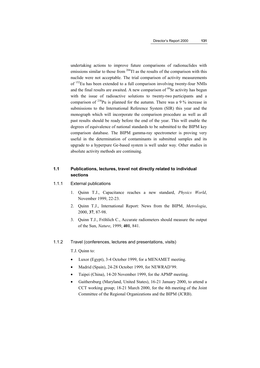undertaking actions to improve future comparisons of radionuclides with emissions similar to those from  $^{204}$ Tl as the results of the comparison with this nuclide were not acceptable. The trial comparison of activity measurements of 152Eu has been extended to a full comparison involving twenty-four NMIs and the final results are awaited. A new comparison of  $^{89}$ Sr activity has begun with the issue of radioactive solutions to twenty-two participants and a comparison of 238Pu is planned for the autumn. There was a 9 % increase in submissions to the International Reference System (SIR) this year and the monograph which will incorporate the comparison procedure as well as all past results should be ready before the end of the year. This will enable the degrees of equivalence of national standards to be submitted to the BIPM key comparison database. The BIPM gamma-ray spectrometer is proving very useful in the determination of contaminants in submitted samples and its upgrade to a hyperpure Ge-based system is well under way. Other studies in absolute activity methods are continuing.

## **1.1 Publications, lectures, travel not directly related to individual sections**

#### 1.1.1 External publications

- 1. Quinn T.J., Capacitance reaches a new standard, *Physics World*, November 1999, 22-23.
- 2. Quinn T.J., International Report: News from the BIPM, *Metrologia*, 2000, **37**, 87-98.
- 3. Quinn T.J., Fröhlich C., Accurate radiometers should measure the output of the Sun, *Nature*, 1999, **401**, 841.

#### 1.1.2 Travel (conferences, lectures and presentations, visits)

T.J. Quinn to:

- Luxor (Egypt), 3-4 October 1999, for a MENAMET meeting.
- Madrid (Spain), 24-28 October 1999, for NEWRAD'99.
- Taipei (China), 14-20 November 1999, for the APMP meeting.
- Gaithersburg (Maryland, United States), 16-21 January 2000, to attend a CCT working group; 18-21 March 2000, for the 4th meeting of the Joint Committee of the Regional Organizations and the BIPM (JCRB).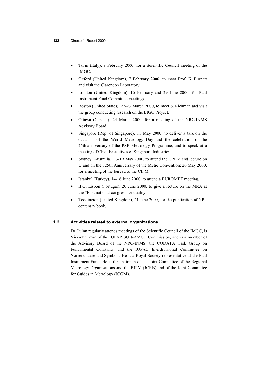- Turin (Italy), 3 February 2000, for a Scientific Council meeting of the IMGC.
- Oxford (United Kingdom), 7 February 2000, to meet Prof. K. Burnett and visit the Clarendon Laboratory.
- London (United Kingdom), 16 February and 29 June 2000, for Paul Instrument Fund Committee meetings.
- Boston (United States), 22-23 March 2000, to meet S. Richman and visit the group conducting research on the LIGO Project.
- Ottawa (Canada), 24 March 2000, for a meeting of the NRC-INMS Advisory Board.
- Singapore (Rep. of Singapore), 11 May 2000, to deliver a talk on the occasion of the World Metrology Day and the celebration of the 25th anniversary of the PSB Metrology Programme, and to speak at a meeting of Chief Executives of Singapore Industries.
- Sydney (Australia), 13-19 May 2000, to attend the CPEM and lecture on *G* and on the 125th Anniversary of the Metre Convention; 20 May 2000, for a meeting of the bureau of the CIPM.
- Istanbul (Turkey), 14-16 June 2000, to attend a EUROMET meeting.
- IPQ, Lisbon (Portugal), 20 June 2000, to give a lecture on the MRA at the "First national congress for quality".
- Teddington (United Kingdom), 21 June 2000, for the publication of NPL centenary book.

## **1.2 Activities related to external organizations**

Dr Quinn regularly attends meetings of the Scientific Council of the IMGC, is Vice-chairman of the IUPAP SUN-AMCO Commission, and is a member of the Advisory Board of the NRC-INMS, the CODATA Task Group on Fundamental Constants, and the IUPAC Interdivisional Committee on Nomenclature and Symbols. He is a Royal Society representative at the Paul Instrument Fund. He is the chairman of the Joint Committee of the Regional Metrology Organizations and the BIPM (JCRB) and of the Joint Committee for Guides in Metrology (JCGM).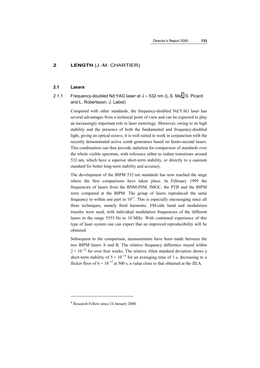## **2 LENGTH** (J.-M. CHARTIER)

#### **2.1 Lasers**

## 2.1.1 Frequency-doubled Nd:YAG laser at  $\lambda \approx 532$  nm (L.S. Ma\*, S. Picard and L. Robertsson; J. Labot)

Compared with other standards, the frequency-doubled Nd:YAG laser has several advantages from a technical point of view and can be expected to play an increasingly important role in laser metrology. Moreover, owing to its high stability and the presence of both the fundamental and frequency-doubled light, giving an optical octave, it is well suited to work in conjunction with the recently demonstrated active comb generators based on femto-second lasers. This combination can thus provide radiation for comparison of standards over the whole visible spectrum, with reference either to iodine transitions around 532 nm, which have a superior short-term stability, or directly to a caesium standard for better long-term stability and accuracy.

The development of the BIPM 532 nm standards has now reached the stage where the first comparisons have taken place. In February 1999 the frequencies of lasers from the BNM-INM, IMGC, the PTB and the BIPM were compared at the BIPM. The group of lasers reproduced the same frequency to within one part in  $10^{11}$ . This is especially encouraging since all three techniques, namely third harmonic*,* FM-side band and modulation transfer were used, with individual modulation frequencies of the different lasers in the range 5555 Hz to 10 MHz. With continued experience of this type of laser system one can expect that an improved reproducibility will be obtained.

Subsequent to the comparison, measurements have been made between the two BIPM lasers A and B. The relative frequency difference stayed within  $2 \times 10^{-12}$  for over four weeks. The relative Allan standard deviation shows a short-term stability of  $5 \times 10^{-14}$  for an averaging time of 1 s, decreasing to a flicker floor of  $6 \times 10^{-15}$  at 500 s, a value close to that obtained at the JILA.

 $\overline{a}$ 

<sup>\*</sup> Research Fellow since 24 January 2000.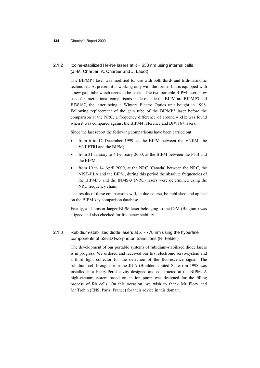## 2.1.2 Iodine-stabilized He-Ne lasers at  $\lambda \approx 633$  nm using internal cells (J.-M. Chartier; A. Chartier and J. Labot)

The BIPMP1 laser was modified for use with both third- and fifth-harmonic techniques. At present it is working only with the former but is equipped with a new gain tube which needs to be tested. The two portable BIPM lasers now used for international comparisons made outside the BIPM are BIPMP3 and BIW167, the latter being a Winters Electro Optics unit bought in 1998. Following replacement of the gain tube of the BIPMP3 laser before the comparison at the NRC, a frequency difference of around 4 kHz was found when it was compared against the BIPM4 reference and BIW167 lasers.

Since the last report the following comparisons have been carried out:

- from 6 to 17 December 1999, at the BIPM between the VNIIM, the VNIIFTRI and the BIPM;
- from 31 January to 4 February 2000, at the BIPM between the PTB and the BIPM;
- from 10 to 14 April 2000, at the NRC (Canada) between the NRC, the NIST-JILA and the BIPM; during this period the absolute frequencies of the BIPMP3 and the INMS-3 (NRC) lasers were determined using the NRC frequency chain.

The results of these comparisons will, in due course, be published and appear on the BIPM key comparison database.

Finally, a Thomson-Jaeger-BIPM laser belonging to the IGM (Belgium) was aligned and also checked for frequency stability.

## 2.1.3 Rubidium-stabilized diode lasers at  $\lambda \approx 778$  nm using the hyperfine components of 5S-5D two-photon transitions (R. Felder)

The development of our portable systems of rubidium-stabilized diode lasers is in progress. We ordered and received our first electronic servo-system and a third light collector for the detection of the fluorescence signal. The rubidium cell brought from the JILA (Boulder, United States) in 1998 was installed in a Fabry-Perot cavity designed and constructed at the BIPM. A high-vacuum system based on an ion pump was designed for the filling process of Rb cells. On this occasion, we wish to thank Mr Flory and Mr Trehin (ENS, Paris, France) for their advice in this domain.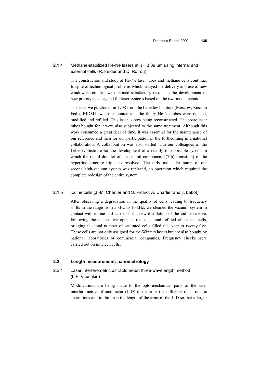## 2.1.4 Methane-stabilized He-Ne lasers at  $\lambda \approx 3.39$  µm using internal and external cells (R. Felder and D. Rotrou)

The construction and study of He-Ne laser tubes and methane cells continue. In spite of technological problems which delayed the delivery and use of new window ensembles, we obtained satisfactory results in the development of new prototypes designed for laser systems based on the two-mode technique.

The laser we purchased in 1998 from the Lebedev Institute (Moscow, Russian Fed.), BIDM1, was dismounted and the faulty He-Ne tubes were opened, modified and refilled. This laser is now being reconstructed. The spare laser tubes bought for it were also subjected to the same treatment. Although this work consumed a great deal of time, it was essential for the maintenance of our reference and then for our participation in the forthcoming international collaboration. A collaboration was also started with our colleagues of the Lebedev Institute for the development of a readily transportable system in which the recoil doublet of the central component  $[(7-6)$  transition of the hyperfine-structure triplet is resolved. The turbo-molecular pump of our second high-vacuum system was replaced, an operation which required the complete redesign of the entire system.

#### 2.1.5 Iodine cells (J.-M. Chartier and S. Picard; A. Chartier and J. Labot)

After observing a degradation in the quality of cells leading to frequency shifts in the range from 5 kHz to 10 kHz, we cleaned the vacuum system in contact with iodine and carried out a new distillation of the iodine reserve. Following these steps we opened, recleaned and refilled about ten cells, bringing the total number of saturated cells filled this year to twenty-five. These cells are not only assigned for the Winters lasers but are also bought by national laboratories or commercial companies. Frequency checks were carried out on nineteen cells.

#### **2.2 Length measurement: nanometrology**

## 2.2.1 Laser interferometric diffractometer: three-wavelength method (L.F. Vitushkin)

Modifications are being made to the opto-mechanical parts of the laser interferometric diffractometer (LID) to decrease the influence of chromatic aberrations and to diminish the length of the arms of the LID so that a larger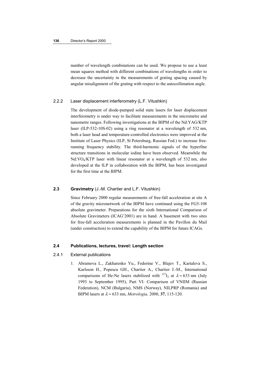number of wavelength combinations can be used. We propose to use a least mean squares method with different combinations of wavelengths in order to decrease the uncertainty in the measurements of grating spacing caused by angular misalignment of the grating with respect to the autocollimation angle.

#### 2.2.2 Laser displacement interferometry (L.F. Vitushkin)

The development of diode-pumped solid state lasers for laser displacement interferometry is under way to facilitate measurements in the micrometre and nanometre ranges. Following investigations at the BIPM of the Nd:YAG/KTP laser (ILP-532-10S-02) using a ring resonator at a wavelength of 532 nm, both a laser head and temperature-controlled electronics were improved at the Institute of Laser Physics (ILP, St Petersburg, Russian Fed.) to increase freerunning frequency stability. The third-harmonic signals of the hyperfine structure transitions in molecular iodine have been observed. Meanwhile the Nd:VO4/KTP laser with linear resonator at a wavelength of 532 nm, also developed at the ILP in collaboration with the BIPM, has been investigated for the first time at the BIPM.

#### **2.3 Gravimetry** (J.-M. Chartier and L.F. Vitushkin)

Since February 2000 regular measurements of free-fall acceleration at site A of the gravity micronetwork of the BIPM have continued using the FG5-108 absolute gravimeter. Preparations for the sixth International Comparison of Absolute Gravimeters (ICAG'2001) are in hand. A basement with two sites for free-fall acceleration measurements is planned in the Pavillon du Mail (under construction) to extend the capability of the BIPM for future ICAGs.

## **2.4 Publications, lectures, travel: Length section**

#### 2.4.1 External publications

1. Abramova L., Zakharenko Yu., Fedorine V., Blajev T., Kartaleva S., Karlsson H., Popescu GH., Chartier A., Chartier J.-M., International comparisons of He-Ne lasers stabilized with <sup>127</sup>I<sub>2</sub> at  $\lambda \approx 633$  nm (July 1993 to September 1995), Part VI: Comparison of VNIIM (Russian Federation), NCM (Bulgaria), NMS (Norway), NILPRP (Romania) and BIPM lasers at λ ≈ 633 nm, *Metrologia,* 2000, **37**, 115-120.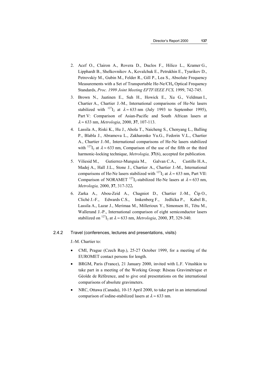- 2. Acef O., Clairon A., Rovera D., Duclos F., Hilico L., Kramer G., Lipphardt B., Shelkovnikov A., Kovalchuk E., Petrukhin E., Tyurikov D., Petrovskiy M., Gubin M., Felder R., Gill P., Lea S., Absolute Frequency Measurements with a Set of Transportable He-Ne/CH<sub>4</sub> Optical Frequency Standards, *Proc. 1999 Joint Meeting EFTF/IEEE FCS,* 1999, 742-745.
- 3. Brown N., Jaatinen E., Suh H., Howick E., Xu G., Veldman I., Chartier A., Chartier J.-M., International comparisons of He-Ne lasers stabilized with <sup>127</sup>I<sub>2</sub> at  $\lambda \approx 633$  nm (July 1993 to September 1995), Part V: Comparison of Asian-Pacific and South African lasers at λ ≈ 633 nm, *Metrologia*, 2000, **37**, 107-113.
- 4. Lassila A., Riski K., Hu J., Ahola T., Naicheng S., Chenyang L., Balling P., Blabla J., Abramova L., Zakharenko Yu.G., Fedorin V.L., Chartier A., Chartier J.-M.*,* International comparisons of He-Ne lasers stabilized with <sup>127</sup>I<sub>2</sub> at  $\lambda \approx 633$  nm, Comparison of the use of the fifth or the third harmonic-locking technique, *Metrologia,* **37**(6), accepted for publication*.*
- 5. Viliesid M., Gutierrez-Munguia M., Galvan C.A., Castillo H.A., Madej A., Hall J.L., Stone J., Chartier A., Chartier J.-M., International comparisons of He-Ne lasers stabilized with <sup>127</sup>I<sub>2</sub> at  $\lambda \approx 633$  nm, Part VII: Comparison of NORAMET <sup>127</sup>I<sub>2</sub>-stabilized He-Ne lasers at  $\lambda \approx 633$  nm, *Metrologia,* 2000, **37**, 317-322*.*
- 6. Zarka A., Abou-Zeid A., Chagniot D., Chartier J.-M., Číp O., Cliché J.-F., Edwards C.S., Imkenberg F., Jedlićka P., Kabel B., Lassila A., Lazar J., Merimaa M., Millerioux Y., Simonsen H., Têtu M., Wallerand J.-P., International comparison of eight semiconductor lasers stabilized on <sup>127</sup>I<sub>2</sub> at  $\lambda \approx 633$  nm, *Metrologia*, 2000, **37**, 329-340.

#### 2.4.2 Travel (conferences, lectures and presentations, visits)

J.-M. Chartier to:

- CMI, Prague (Czech Rep.), 25-27 October 1999, for a meeting of the EUROMET contact persons for length.
- BRGM, Paris (France), 21 January 2000, invited with L.F. Vitushkin to take part in a meeting of the Working Group: Réseau Gravimétrique et Géoïde de Référence, and to give oral presentations on the international comparisons of absolute gravimeters.
- NRC, Ottawa (Canada), 10-15 April 2000, to take part in an international comparison of iodine-stabilized lasers at  $\lambda \approx 633$  nm.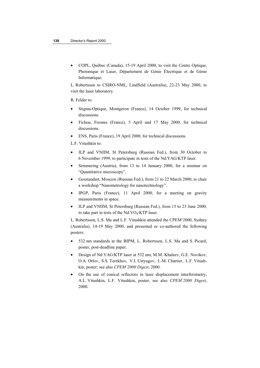• COPL, Québec (Canada), 15-19 April 2000, to visit the Centre Optique, Photonique et Laser, Département de Génie Électrique et de Génie Informatique.

L. Robertsson to CSIRO-NML, Lindfield (Australia), 22-23 May 2000, to visit the laser laboratory.

R. Felder to:

- Stigma-Optique, Montgeron (France), 14 October 1999, for technical discussions.
- Fichou, Fresnes (France), 5 April and 17 May 2000, for technical discussions.
- ENS, Paris (France), 19 April 2000, for technical discussions.
- L.F. Vitushkin to:
- ILP and VNIIM, St Petersburg (Russian Fed.), from 30 October to 6 November 1999, to participate in tests of the Nd:YAG/KTP laser.
- Semmering (Austria), from 13 to 14 January 2000, for a seminar on "Quantitative microscopy".
- Gosstandart, Moscow (Russian Fed.), from 21 to 22 March 2000, to chair a workshop "Nanometrology for nanotechnology".
- IPGP, Paris (France), 11 April 2000, for a meeting on gravity measurements in space.
- ILP and VNIIM, St Petersburg (Russian Fed.), from 15 to 23 June 2000, to take part in tests of the Nd:VO4/KTP laser.

L. Robertsson, L.S. Ma and L.F. Vitushkin attended the CPEM'2000, Sydney (Australia), 14-19 May 2000, and presented or co-authored the following posters:

- 532 nm standards at the BIPM, L. Robertsson, L.S. Ma and S. Picard, poster, post-deadline paper.
- Design of Nd:YAG/KTP laser at 532 nm, M.M. Khaleev, G.E. Novikov, O.A. Orlov, S.S. Terekhov, V.I. Ustyugov, J.-M. Chartier, L.F. Vitushkin, poster; see also *CPEM'2000 Digest*, 2000.
- On the use of conical reflectors in laser displacement interferometry, A.L. Vitushkin, L.F. Vitushkin, poster, see also *CPEM'2000 Digest*, 2000.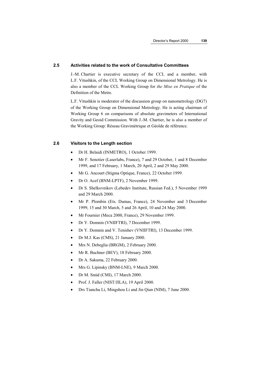#### **2.5 Activities related to the work of Consultative Committees**

J.-M. Chartier is executive secretary of the CCL and a member, with L.F. Vitushkin, of the CCL Working Group on Dimensional Metrology. He is also a member of the CCL Working Group for *the Mise en Pratique* of the Definition of the Metre.

L.F. Vitushkin is moderator of the discussion group on nanometrology (DG7) of the Working Group on Dimensional Metrology. He is acting chairman of Working Group 6 on comparisons of absolute gravimeters of International Gravity and Geoid Commission. With J.-M. Chartier, he is also a member of the Working Group: Réseau Gravimétrique et Géoïde de référence.

#### **2.6 Visitors to the Length section**

- Dr H. Belaidi (INMETRO), 1 October 1999.
- Mr F. Senotier (Laserlabs, France), 7 and 29 October, 1 and 8 December 1999, and 17 February, 1 March, 20 April, 2 and 29 May 2000.
- Mr G. Ancourt (Stigma Optique, France), 22 October 1999.
- Dr O. Acef (BNM-LPTF), 2 November 1999.
- Dr S. Shelkovnikov (Lebedev Institute, Russian Fed.), 5 November 1999 and 29 March 2000.
- Mr P. Plombin (Ets. Dumas, France), 24 November and 3 December 1999, 15 and 30 March, 5 and 26 April, 10 and 24 May 2000.
- Mr Fournier (Meca 2000, France), 29 November 1999.
- Dr Y. Domnin (VNIIFTRI), 7 December 1999.
- Dr Y. Domnin and V. Tenishev (VNIIFTRI), 13 December 1999.
- Dr M.J. Kas (CMS), 21 January 2000.
- Mrs N. Debeglia (BRGM), 2 February 2000.
- Mr R. Buchner (BEV), 18 February 2000.
- Dr A. Sakuma, 22 February 2000.
- Mrs G. Lipinsky (BNM-LNE), 9 March 2000.
- Dr M. Smid (CMI), 17 March 2000.
- Prof. J. Faller (NIST/JILA), 19 April 2000.
- Drs Tianchu Li, Mingshou Li and Jin Qian (NIM), 7 June 2000.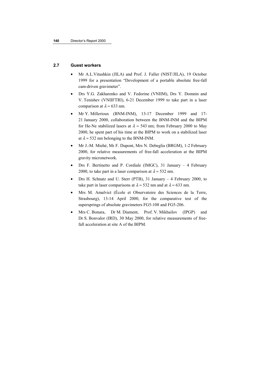## **2.7 Guest workers**

- Mr A.L.Vitushkin (JILA) and Prof. J. Faller (NIST/JILA), 19 October 1999 for a presentation "Development of a portable absolute free-fall cam-driven gravimeter".
- Drs Y.G. Zakharenko and V. Fedorine (VNIIM), Drs Y. Domnin and V. Tenishev (VNIIFTRI), 6-21 December 1999 to take part in a laser comparison at  $\lambda \approx 633$  nm.
- Mr Y. Millerioux (BNM-INM), 13-17 December 1999 and 17-21 January 2000, collaboration between the BNM-INM and the BIPM for He-Ne stabilized lasers at  $\lambda \approx 543$  nm; from February 2000 to May 2000, he spent part of his time at the BIPM to work on a stabilized laser at  $\lambda \approx 532$  nm belonging to the BNM-INM.
- Mr J.-M. Miehé, Mr F. Dupont, Mrs N. Debeglia (BRGM), 1-2 February 2000, for relative measurements of free-fall acceleration at the BIPM gravity micronetwork.
- Drs F. Bertinetto and P. Cordiale (IMGC), 31 January 4 February 2000, to take part in a laser comparison at  $\lambda \approx 532$  nm.
- Drs H. Schnatz and U. Sterr (PTB), 31 January 4 February 2000, to take part in laser comparisons at  $\lambda \approx 532$  nm and at  $\lambda \approx 633$  nm.
- Mrs M. Amalvict (École et Observatoire des Sciences de la Terre, Strasbourg), 13-14 April 2000, for the comparative test of the supersprings of absolute gravimeters FG5-108 and FG5-206.
- Mrs C. Bonara, Dr M. Diament, Prof. V. Mikhailov (IPGP) and Dr S. Bonvalor (IRD), 30 May 2000, for relative measurements of freefall acceleration at site A of the BIPM.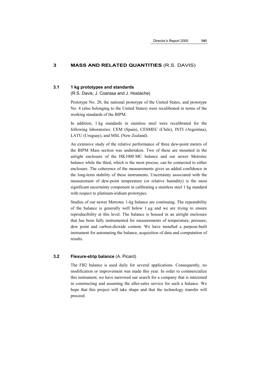#### **3 MASS AND RELATED QUANTITIES** (R.S. DAVIS)

#### **3.1 1 kg prototypes and standards**

(R.S. Davis; J. Coarasa and J. Hostache)

Prototype No. 20, the national prototype of the United States, and prototype No. 4 (also belonging to the United States) were recalibrated in terms of the working standards of the BIPM.

In addition, 1 kg standards in stainless steel were recalibrated for the following laboratories: CEM (Spain), CESMEC (Chile), INTI (Argentina), LATU (Uruguay), and MSL (New Zealand).

An extensive study of the relative performance of three dew-point meters of the BIPM Mass section was undertaken. Two of these are mounted in the airtight enclosure of the HK1000 MC balance and our newer Metrotec balance while the third, which is the most precise, can be connected to either enclosure. The coherence of the measurements gives us added confidence in the long-term stability of these instruments. Uncertainty associated with the measurement of dew-point temperature (or relative humidity) is the most significant uncertainty component in calibrating a stainless steel 1 kg standard with respect to platinum-iridium prototypes.

Studies of our newer Metrotec 1-kg balance are continuing. The repeatability of the balance is generally well below 1 µg and we are trying to ensure reproducibility at this level. The balance is housed in an airtight enclosure that has been fully instrumented for measurements of temperature, pressure, dew point and carbon-dioxide content. We have installed a purpose-built instrument for automating the balance, acquisition of data and computation of results.

#### **3.2 Flexure-strip balance** (A. Picard)

The FB2 balance is used daily for several applications. Consequently, no modification or improvement was made this year. In order to commercialize this instrument, we have narrowed our search for a company that is interested in constructing and assuming the after-sales service for such a balance. We hope that this project will take shape and that the technology transfer will proceed.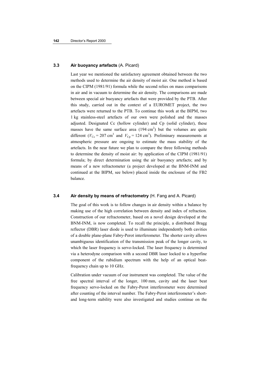#### **3.3 Air buoyancy artefacts** (A. Picard)

Last year we mentioned the satisfactory agreement obtained between the two methods used to determine the air density of moist air. One method is based on the CIPM (1981/91) formula while the second relies on mass comparisons in air and in vacuum to determine the air density. The comparisons are made between special air buoyancy artefacts that were provided by the PTB. After this study, carried out in the context of a EUROMET project, the two artefacts were returned to the PTB. To continue this work at the BIPM, two 1 kg stainless-steel artefacts of our own were polished and the masses adjusted. Designated Cc (hollow cylinder) and Cp (solid cylinder), these masses have the same surface area  $(194 \text{ cm}^2)$  but the volumes are quite different ( $V_{\text{Cc}} = 207 \text{ cm}^3$  and  $V_{\text{Cp}} = 124 \text{ cm}^3$ ). Preliminary measurements at atmospheric pressure are ongoing to estimate the mass stability of the artefacts. In the near future we plan to compare the three following methods to determine the density of moist air: by application of the CIPM (1981/91) formula; by direct determination using the air buoyancy artefacts; and by means of a new refractometer (a project developed at the BNM-INM and continued at the BIPM, see below) placed inside the enclosure of the FB2 balance.

#### **3.4 Air density by means of refractometry** (H. Fang and A. Picard)

The goal of this work is to follow changes in air density within a balance by making use of the high correlation between density and index of refraction. Construction of our refractometer, based on a novel design developed at the BNM-INM, is now completed. To recall the principle, a distributed Bragg reflector (DBR) laser diode is used to illuminate independently both cavities of a double plane-plane Fabry-Perot interferometer. The shorter cavity allows unambiguous identification of the transmission peak of the longer cavity, to which the laser frequency is servo-locked. The laser frequency is determined via a heterodyne comparison with a second DBR laser locked to a hyperfine component of the rubidium spectrum with the help of an optical beatfrequency chain up to 10 GHz.

Calibration under vacuum of our instrument was completed. The value of the free spectral interval of the longer, 100 mm, cavity and the laser beat frequency servo-locked on the Fabry-Perot interferometer were determined after counting of the interval number. The Fabry-Perot interferometer's shortand long-term stability were also investigated and studies continue on the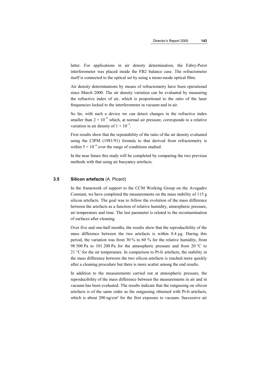latter. For applications in air density determination, the Fabry-Perot interferometer was placed inside the FB2 balance case. The refractometer itself is connected to the optical set by using a mono-mode optical fibre.

Air density determinations by means of refractometry have been operational since March 2000. The air density variation can be evaluated by measuring the refractive index of air, which is proportional to the ratio of the laser frequencies locked to the interferometer in vacuum and in air.

So far, with such a device we can detect changes in the refractive index smaller than  $2 \times 10^{-9}$  which, at normal air pressure, corresponds to a relative variation in air density of  $1 \times 10^{-5}$ .

First results show that the repeatability of the ratio of the air density evaluated using the CIPM (1981/91) formula to that derived from refractometry is within 5  $\times$  10<sup>-6</sup> over the range of conditions studied.

In the near future this study will be completed by comparing the two previous methods with that using air buoyancy artefacts.

## **3.5 Silicon artefacts** (A. Picard)

In the framework of support to the CCM Working Group on the Avogadro Constant, we have completed the measurements on the mass stability of 115 g silicon artefacts. The goal was to follow the evolution of the mass difference between the artefacts as a function of relative humidity, atmospheric pressure, air temperature and time. The last parameter is related to the recontamination of surfaces after cleaning.

Over five and one-half months, the results show that the reproducibility of the mass difference between the two artefacts is within 0.4 µg. During this period, the variation was from 30 % to 60 % for the relative humidity, from 98 500 Pa to 101 200 Pa for the atmospheric pressure and from 20 °C to 21 °C for the air temperature. In comparison to Pt-Ir artefacts, the stability in the mass difference between the two silicon artefacts is reached more quickly after a cleaning procedure but there is more scatter among the end results.

In addition to the measurements carried out at atmospheric pressure, the reproducibility of the mass difference between the measurements in air and in vacuum has been evaluated. The results indicate that the outgassing on silicon artefacts is of the same order as the outgassing obtained with Pt-Ir artefacts, which is about 200 ng/cm<sup>2</sup> for the first exposure to vacuum. Successive air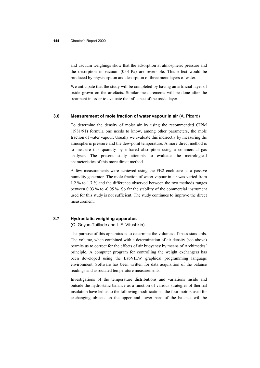and vacuum weighings show that the adsorption at atmospheric pressure and the desorption in vacuum (0.01 Pa) are reversible. This effect would be produced by physisorption and desorption of three monolayers of water.

We anticipate that the study will be completed by having an artificial layer of oxide grown on the artefacts. Similar measurements will be done after the treatment in order to evaluate the influence of the oxide layer.

#### **3.6 Measurement of mole fraction of water vapour in air** (A. Picard)

To determine the density of moist air by using the recommended CIPM (1981/91) formula one needs to know, among other parameters, the mole fraction of water vapour. Usually we evaluate this indirectly by measuring the atmospheric pressure and the dew-point temperature. A more direct method is to measure this quantity by infrared absorption using a commercial gas analyser. The present study attempts to evaluate the metrological characteristics of this more direct method.

A few measurements were achieved using the FB2 enclosure as a passive humidity generator. The mole fraction of water vapour in air was varied from 1.2 % to 1.7 % and the difference observed between the two methods ranges between 0.03 % to -0.05 %. So far the stability of the commercial instrument used for this study is not sufficient. The study continues to improve the direct measurement.

## **3.7 Hydrostatic weighing apparatus**

(C. Goyon-Taillade and L.F. Vitushkin)

The purpose of this apparatus is to determine the volumes of mass standards. The volume, when combined with a determination of air density (see above) permits us to correct for the effects of air buoyancy by means of Archimedes' principle. A computer program for controlling the weight exchangers has been developed using the LabVIEW graphical programming language environment. Software has been written for data acquisition of the balance readings and associated temperature measurements.

Investigations of the temperature distributions and variations inside and outside the hydrostatic balance as a function of various strategies of thermal insulation have led us to the following modifications: the four motors used for exchanging objects on the upper and lower pans of the balance will be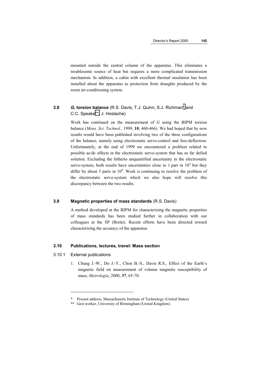mounted outside the central column of the apparatus. This eliminates a troublesome source of heat but requires a more complicated transmission mechanism. In addition, a cabin with excellent thermal insulation has been installed about the apparatus as protection from draughts produced by the room air-conditioning system.

## **3.8** *G***, torsion balance** (R.S. Davis, T.J. Quinn, S.J. Richman\* and C.C. Speake\*\*; J. Hostache)

Work has continued on the measurement of *G* using the BIPM torsion balance (*Meas. Sci. Technol.,* 1999, **10**, 460-466). We had hoped that by now results would have been published involving two of the three configurations of the balance, namely using electrostatic servo-control and free-deflection. Unfortunately, at the end of 1999 we encountered a problem related to possible ac/dc effects in the electrostatic servo-system that has so far defied solution. Excluding the hitherto unquantified uncertainty in the electrostatic servo-system, both results have uncertainties close to 1 part in  $10<sup>4</sup>$  but they differ by about 3 parts in  $10^4$ . Work is continuing to resolve the problem of the electrostatic servo-system which we also hope will resolve this discrepancy between the two results.

#### **3.9 Magnetic properties of mass standards** (R.S. Davis)

A method developed at the BIPM for characterizing the magnetic properties of mass standards has been studied further in collaboration with our colleagues at the SP (Borås). Recent efforts have been directed toward characterizing the accuracy of the apparatus.

## **3.10 Publications, lectures, travel: Mass section**

#### 3.10.1 External publications

 $\overline{a}$ 

1. Chung J.-W., Do J.-Y., Chon B.-S., Davis R.S., Effect of the Earth's magnetic field on measurement of volume magnetic susceptibility of mass, *Metrologia*, 2000, **37**, 65-70.

<sup>\*</sup> Present address, Massachusetts Institute of Technology (United States).

<sup>\*\*</sup> Gest worker, University of Birmingham (United Kingdom).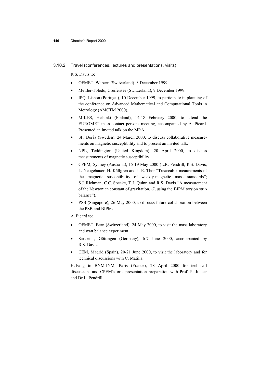#### 3.10.2 Travel (conferences, lectures and presentations, visits)

R.S. Davis to:

- OFMET, Wabern (Switzerland), 8 December 1999.
- Mettler-Toledo, Greifensee (Switzerland), 9 December 1999.
- IPQ, Lisbon (Portugal), 10 December 1999, to participate in planning of the conference on Advanced Mathematical and Computational Tools in Metrology (AMCTM 2000).
- MIKES, Helsinki (Finland), 14-18 February 2000, to attend the EUROMET mass contact persons meeting, accompanied by A. Picard. Presented an invited talk on the MRA.
- SP, Borås (Sweden), 24 March 2000, to discuss collaborative measurements on magnetic susceptibility and to present an invited talk.
- NPL, Teddington (United Kingdom), 20 April 2000, to discuss measurements of magnetic susceptibility.
- CPEM, Sydney (Australia), 15-19 May 2000 (L.R. Pendrill, R.S. Davis, L. Neugebauer, H. Källgren and J.-E. Thor "Treaceable meaurements of the magnetic susceptibility of weakly-magnetic mass standards"; S.J. Richman, C.C. Speake, T.J. Quinn and R.S. Davis "A measurement of the Newtonian constant of gravitation, *G*, using the BIPM torsion strip balance").
- PSB (Singapore), 26 May 2000, to discuss future collaboration between the PSB and BIPM.

A. Picard to:

- OFMET, Bern (Switzerland), 24 May 2000, to visit the mass laboratory and watt balance experiment.
- Sartorius, Göttingen (Germany), 6-7 June 2000, accompanied by R.S. Davis.
- CEM, Madrid (Spain), 20-21 June 2000, to visit the laboratory and for technical discussions with C. Matilla.

H. Fang to BNM-INM, Paris (France), 28 April 2000 for technical discussions and CPEM's oral presentation preparation with Prof. P. Juncar and Dr L. Pendrill.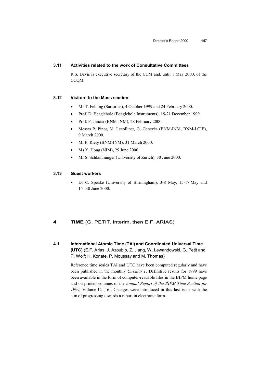### **3.11 Activities related to the work of Consultative Committees**

R.S. Davis is executive secretary of the CCM and, until 1 May 2000, of the CCQM.

### **3.12 Visitors to the Mass section**

- Mr T. Fehling (Sartorius), 4 October 1999 and 24 February 2000.
- Prof. D. Beaglehole (Beaglehole Instruments), 15-21 December 1999.
- Prof. P. Juncar (BNM-INM), 28 February 2000.
- Messrs P. Pinot, M. Lecollinet, G. Genevès (BNM-INM, BNM-LCIE), 9 March 2000.
- Mr P. Riety (BNM-INM), 31 March 2000.
- Ms Y. Hong (NIM), 29 June 2000.
- Mr S. Schlamminger (University of Zurich), 30 June 2000.

#### **3.13 Guest workers**

• Dr C. Speake (University of Birmingham), 3-8 May, 15-17 May and 15--30 June 2000.

# **4 TIME** (G. PETIT, interim, then E.F. ARIAS)

**4.1 International Atomic Time (TAI) and Coordinated Universal Time (UTC)** (E.F. Arias, J. Azoubib, Z. Jiang, W. Lewandowski, G. Petit and P. Wolf; H. Konate, P. Moussay and M. Thomas)

> Reference time scales TAI and UTC have been computed regularly and have been published in the monthly *Circular T*. Definitive results for 1999 have been available in the form of computer-readable files in the BIPM home page and on printed volumes of the *Annual Report of the BIPM Time Section for 1999,* Volume 12 [16]. Changes were introduced in this last issue with the aim of progressing towards a report in electronic form.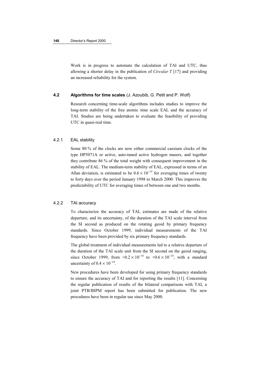Work is in progress to automate the calculation of TAI and UTC, thus allowing a shorter delay in the publication of *Circular T* [17] and providing an increased reliability for the system.

### **4.2 Algorithms for time scales** (J. Azoubib, G. Petit and P. Wolf)

Research concerning time-scale algorithms includes studies to improve the long-term stability of the free atomic time scale EAL and the accuracy of TAI. Studies are being undertaken to evaluate the feasibility of providing UTC in quasi-real time.

#### 4.2.1 EAL stability

Some 80 % of the clocks are now either commercial caesium clocks of the type HP5071A or active, auto-tuned active hydrogen masers, and together they contribute 86 % of the total weight with consequent improvement in the stability of EAL. The medium-term stability of EAL, expressed in terms of an Allan deviation, is estimated to be  $0.6 \times 10^{-15}$  for averaging times of twenty to forty days over the period January 1998 to March 2000. This improves the predictability of UTC for averaging times of between one and two months.

### 4.2.2 TAI accuracy

To characterize the accuracy of TAI, estimates are made of the relative departure, and its uncertainty, of the duration of the TAI scale interval from the SI second as produced on the rotating geoid by primary frequency standards. Since October 1999, individual measurements of the TAI frequency have been provided by six primary frequency standards.

The global treatment of individual measurements led to a relative departure of the duration of the TAI scale unit from the SI second on the geoid ranging, since October 1999, from  $+0.2 \times 10^{-14}$  to  $+0.6 \times 10^{-14}$ , with a standard uncertainty of  $0.4 \times 10^{-14}$ .

New procedures have been developed for using primary frequency standards to ensure the accuracy of TAI and for reporting the results [11]. Concerning the regular publication of results of the bilateral comparisons with TAI, a joint PTB/BIPM report has been submitted for publication. The new procedures have been in regular use since May 2000.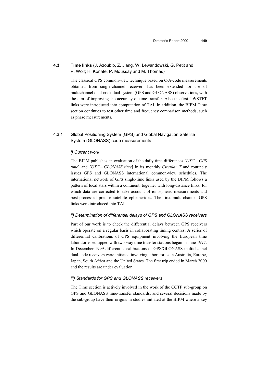# **4.3 Time links** (J. Azoubib, Z. Jiang, W. Lewandowski, G. Petit and P. Wolf; H. Konate, P. Moussay and M. Thomas)

The classical GPS common-view technique based on C/A-code measurements obtained from single-channel receivers has been extended for use of multichannel dual-code dual-system (GPS and GLONASS) observations, with the aim of improving the accuracy of time transfer. Also the first TWSTFT links were introduced into computation of TAI. In addition, the BIPM Time section continues to test other time and frequency comparison methods, such as phase measurements.

### 4.3.1 Global Positioning System (GPS) and Global Navigation Satellite System (GLONASS) code measurements

### *i) Current work*

The BIPM publishes an evaluation of the daily time differences [*UTC – GPS time*] and [*UTC – GLONASS time*] in its monthly *Circular T* and routinely issues GPS and GLONASS international common-view schedules. The international network of GPS single-time links used by the BIPM follows a pattern of local stars within a continent, together with long-distance links, for which data are corrected to take account of ionospheric measurements and post-processed precise satellite ephemerides. The first multi-channel GPS links were introduced into TAI.

### *ii) Determination of differential delays of GPS and GLONASS receivers*

Part of our work is to check the differential delays between GPS receivers which operate on a regular basis in collaborating timing centres. A series of differential calibrations of GPS equipment involving the European time laboratories equipped with two-way time transfer stations began in June 1997. In December 1999 differential calibrations of GPS/GLONASS multichannel dual-code receivers were initiated involving laboratories in Australia, Europe, Japan, South Africa and the United States. The first trip ended in March 2000 and the results are under evaluation.

#### *iii) Standards for GPS and GLONASS receivers*

The Time section is actively involved in the work of the CCTF sub-group on GPS and GLONASS time-transfer standards, and several decisions made by the sub-group have their origins in studies initiated at the BIPM where a key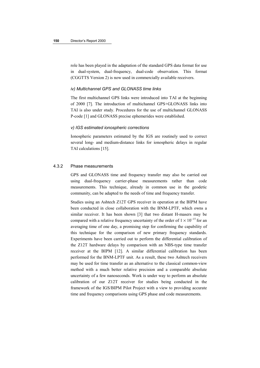role has been played in the adaptation of the standard GPS data format for use in dual-system, dual-frequency, dual-code observation. This format (CGGTTS Version 2) is now used in commercially available receivers.

### *iv) Multichannel GPS and GLONASS time links*

The first multichannel GPS links were introduced into TAI at the beginning of 2000 [7]. The introduction of multichannel GPS+GLONASS links into TAI is also under study. Procedures for the use of multichannel GLONASS P-code [1] and GLONASS precise ephemerides were established.

### *v) IGS estimated ionospheric corrections*

Ionospheric parameters estimated by the IGS are routinely used to correct several long- and medium-distance links for ionospheric delays in regular TAI calculations [15].

### 4.3.2 Phase measurements

GPS and GLONASS time and frequency transfer may also be carried out using dual-frequency carrier-phase measurements rather than code measurements. This technique, already in common use in the geodetic community, can be adapted to the needs of time and frequency transfer.

Studies using an Ashtech Z12T GPS receiver in operation at the BIPM have been conducted in close collaboration with the BNM-LPTF, which owns a similar receiver. It has been shown [3] that two distant H-masers may be compared with a relative frequency uncertainty of the order of  $1 \times 10^{-15}$  for an averaging time of one day, a promising step for confirming the capability of this technique for the comparison of new primary frequency standards. Experiments have been carried out to perform the differential calibration of the Z12T hardware delays by comparison with an NBS-type time transfer receiver at the BIPM [12]. A similar differential calibration has been performed for the BNM-LPTF unit. As a result, these two Ashtech receivers may be used for time transfer as an alternative to the classical common-view method with a much better relative precision and a comparable absolute uncertainty of a few nanoseconds. Work is under way to perform an absolute calibration of our Z12T receiver for studies being conducted in the framework of the IGS/BIPM Pilot Project with a view to providing accurate time and frequency comparisons using GPS phase and code measurements.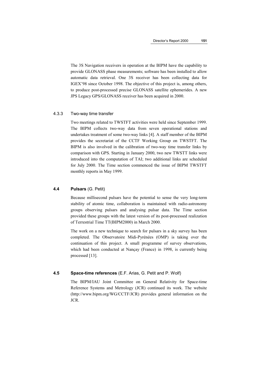The 3S Navigation receivers in operation at the BIPM have the capability to provide GLONASS phase measurements; software has been installed to allow automatic data retrieval. One 3S receiver has been collecting data for IGEX'98 since October 1998. The objective of this project is, among others, to produce post-processed precise GLONASS satellite ephemerides. A new JPS Legacy GPS/GLONASS receiver has been acquired in 2000.

#### 4.3.3 Two-way time transfer

Two meetings related to TWSTFT activities were held since September 1999. The BIPM collects two-way data from seven operational stations and undertakes treatment of some two-way links [4]. A staff member of the BIPM provides the secretariat of the CCTF Working Group on TWSTFT. The BIPM is also involved in the calibration of two-way time transfer links by comparison with GPS. Starting in January 2000, two new TWSTT links were introduced into the computation of TAI; two additional links are scheduled for July 2000. The Time section commenced the issue of BIPM TWSTFT monthly reports in May 1999.

#### **4.4 Pulsars** (G. Petit)

Because millisecond pulsars have the potential to sense the very long-term stability of atomic time, collaboration is maintained with radio-astronomy groups observing pulsars and analysing pulsar data. The Time section provided these groups with the latest version of its post-processed realization of Terrestrial Time TT(BIPM2000) in March 2000.

The work on a new technique to search for pulsars in a sky survey has been completed. The Observatoire Midi-Pyrénées (OMP) is taking over the continuation of this project. A small programme of survey observations, which had been conducted at Nançay (France) in 1998, is currently being processed [13].

#### **4.5 Space-time references** (E.F. Arias, G. Petit and P. Wolf)

The BIPM/IAU Joint Committee on General Relativity for Space-time Reference Systems and Metrology (JCR) continued its work. The website (http://www.bipm.org/WG/CCTF/JCR) provides general information on the JCR.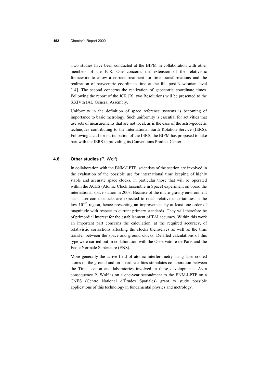Two studies have been conducted at the BIPM in collaboration with other members of the JCR. One concerns the extension of the relativistic framework to allow a correct treatment for time transformations and the realization of barycentric coordinate time at the full post-Newtonian level [14]. The second concerns the realization of geocentric coordinate times. Following the report of the JCR [9], two Resolutions will be presented to the XXIVth IAU General Assembly.

Uniformity in the definition of space reference systems is becoming of importance to basic metrology. Such uniformity is essential for activities that use sets of measurements that are not local, as is the case of the astro-geodetic techniques contributing to the International Earth Rotation Service (IERS). Following a call for participation of the IERS, the BIPM has proposed to take part with the IERS in providing its Conventions Product Center.

#### **4.6 Other studies** (P. Wolf)

In collaboration with the BNM-LPTF, scientists of the section are involved in the evaluation of the possible use for international time keeping of highly stable and accurate space clocks, in particular those that will be operated within the ACES (Atomic Clock Ensemble in Space) experiment on board the international space station in 2003. Because of the micro-gravity environment such laser-cooled clocks are expected to reach relative uncertainties in the low 10<sup>−</sup>16 region, hence presenting an improvement by at least one order of magnitude with respect to current primary standards. They will therefore be of primordial interest for the establishment of TAI accuracy. Within this work an important part concerns the calculation, at the required accuracy, of relativistic corrections affecting the clocks themselves as well as the time transfer between the space and ground clocks. Detailed calculations of this type were carried out in collaboration with the Observatoire de Paris and the École Normale Supérieure (ENS).

More generally the active field of atomic interferometry using laser-cooled atoms on the ground and on-board satellites stimulates collaboration between the Time section and laboratories involved in these developments. As a consequence P. Wolf is on a one-year secondment to the BNM-LPTF on a CNES (Centre National d'Études Spatiales) grant to study possible applications of this technology in fundamental physics and metrology.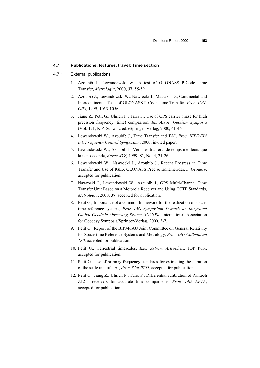### **4.7 Publications, lectures, travel: Time section**

### 4.7.1 External publications

- 1. Azoubib J., Lewandowski W., A test of GLONASS P-Code Time Transfer, *Metrologia*, 2000, **37**, 55-59.
- 2. Azoubib J., Lewandowski W., Nawrocki J., Matsakis D., Continental and Intercontinental Tests of GLONASS P-Code Time Transfer, *Proc. ION-GPS,* 1999, 1053-1056.
- 3. Jiang Z., Petit G., Uhrich P., Taris F., Use of GPS carrier phase for high precision frequency (time) comparison*, Int. Assoc. Geodesy Symposia* (Vol. 121, K.P. Schwarz ed.)/Springer-Verlag, 2000, 41-46.
- 4. Lewandowski W., Azoubib J., Time Transfer and TAI, *Proc. IEEE/EIA Int. Frequency Control Symposium*, 2000, invited paper.
- 5. Lewandowski W., Azoubib J., Vers des tranferts de temps meilleurs que la nanoseconde, *Revue XYZ,* 1999, **81**, No. 4, 21-26.
- 6. Lewandowski W., Nawrocki J., Azoubib J., Recent Progress in Time Transfer and Use of IGEX GLONASS Precise Ephemerides, *J. Geodesy*, accepted for publication.
- 7. Nawrocki J., Lewandowski W., Azoubib J., GPS Multi-Channel Time Transfer Unit Based on a Motorola Receiver and Using CCTF Standards, *Metrologia*, 2000, **37**, accepted for publication.
- 8. Petit G., Importance of a common framework for the realization of spacetime reference systems, *Proc. IAG Symposium Towards an Integrated Global Geodetic Observing System (IGGOS)*, International Association for Geodesy Symposia/Springer-Verlag, 2000, 3-7.
- 9. Petit G., Report of the BIPM/IAU Joint Committee on General Relativity for Space-time Reference Systems and Metrology, *Proc. IAU Colloquium 180*, accepted for publication.
- 10. Petit G., Terrestrial timescales, *Enc. Astron. Astrophys.*, IOP Pub., accepted for publication.
- 11. Petit G., Use of primary frequency standards for estimating the duration of the scale unit of TAI, *Proc. 31st PTTI*, accepted for publication.
- 12. Petit G., Jiang Z., Uhrich P., Taris F., Differential calibration of Ashtech Z12-T receivers for accurate time comparisons, *Proc. 14th EFTF*, accepted for publication.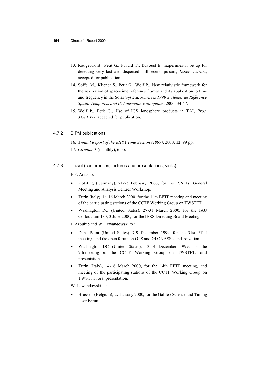- 13. Rougeaux B., Petit G., Fayard T., Davoust E., Experimental set-up for detecting very fast and dispersed millisecond pulsars, *Exper. Astron*., accepted for publication.
- 14. Soffel M., Klioner S., Petit G., Wolf P., New relativistic framework for the realization of space-time reference frames and its application to time and frequency in the Solar System, *Journées 1999 Systèmes de Référence Spatio-Temporels and IX Lohrmann-Kolloquium*, 2000, 34-47.
- 15. Wolf P., Petit G., Use of IGS ionosphere products in TAI, *Proc. 31st PTTI*, accepted for publication.

### 4.7.2 BIPM publications

- 16. *Annual Report of the BIPM Time Section (1999)*, 2000, **12**, 99 pp.
- 17*. Circular T* (monthly), 6 pp.

### 4.7.3 Travel (conferences, lectures and presentations, visits)

E F. Arias to:

- Kötzting (Germany), 21-25 February 2000, for the IVS 1st General Meeting and Analysis Centres Workshop.
- Turin (Italy), 14-16 March 2000, for the 14th EFTF meeting and meeting of the participating stations of the CCTF Working Group on TWSTFT.
- Washington DC (United States), 27-31 March 2000, for the IAU Colloquium 180; 3 June 2000, for the IERS Directing Board Meeting.

J. Azoubib and W. Lewandowski to :

- Dana Point (United States), 7-9 December 1999, for the 31st PTTI meeting, and the open forum on GPS and GLONASS standardization.
- Washington DC (United States), 13-14 December 1999, for the 7th meeting of the CCTF Working Group on TWSTFT, oral presentation.
- Turin (Italy), 14-16 March 2000, for the 14th EFTF meeting, and meeting of the participating stations of the CCTF Working Group on TWSTFT, oral presentation.

W. Lewandowski to:

• Brussels (Belgium), 27 January 2000, for the Galileo Science and Timing User Forum.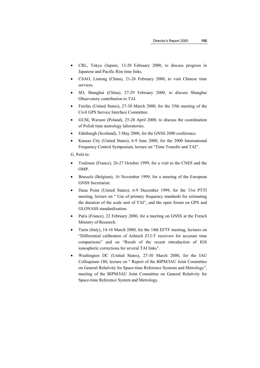- CRL, Tokyo (Japan), 13-20 February 2000, to discuss progress in Japanese and Pacific Rim time links.
- CSAO, Lintong (China), 21-26 February 2000, to visit Chinese time services.
- SO, Shanghai (China), 27-29 February 2000, to discuss Shanghai Observatory contribution to TAI.
- Fairfax (United States), 27-30 March 2000, for the 35th meeting of the Civil GPS Service Interface Committee.
- GUM, Warsaw (Poland), 25-28 April 2000, to discuss the coordination of Polish time metrology laboratories.
- Edinburgh (Scotland), 3 May 2000, for the GNSS 2000 conference.
- Kansas City (United States), 6-9 June 2000, for the 2000 International Frequency Control Symposium, lecture on "Time Transfer and TAI".

G. Petit to:

- Toulouse (France), 26-27 October 1999, for a visit to the CNES and the OMP.
- Brussels (Belgium), 16 November 1999, for a meeting of the European GNSS Secretariat.
- Dana Point (United States), 6-9 December 1999, for the 31st PTTI meeting, lecture on " Use of primary frequency standards for estimating the duration of the scale unit of TAI", and the open forum on GPS and GLONASS standardization.
- Paris (France), 22 February 2000, for a meeting on GNSS at the French Ministry of Research.
- Turin (Italy), 14-16 March 2000, for the 14th EFTF meeting, lectures on "Differential calibration of Ashtech Z12-T receivers for accurate time comparisons" and on "Result of the recent introduction of IGS ionospheric corrections for several TAI links".
- Washington DC (United States), 27-30 March 2000, for the IAU Colloquium 180, lecture on " Report of the BIPM/IAU Joint Committee on General Relativity for Space-time Reference Systems and Metrology", meeting of the BIPM/IAU Joint Committee on General Relativity for Space-time Reference System and Metrology.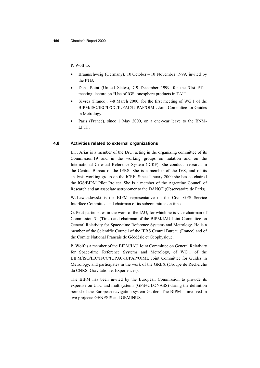P. Wolf to:

- Braunschweig (Germany), 10 October 10 November 1999, invited by the PTB.
- Dana Point (United States), 7-9 December 1999, for the 31st PTTI meeting, lecture on "Use of IGS ionosphere products in TAI".
- Sèvres (France), 7-8 March 2000, for the first meeting of WG 1 of the BIPM/ISO/IEC/IFCC/IUPAC/IUPAP/OIML Joint Committee for Guides in Metrology.
- Paris (France), since 1 May 2000, on a one-year leave to the BNM-LPTF.

#### **4.8 Activities related to external organizations**

E.F. Arias is a member of the IAU, acting in the organizing committee of its Commission 19 and in the working groups on nutation and on the International Celestial Reference System (ICRF). She conducts research in the Central Bureau of the IERS. She is a member of the IVS, and of its analysis working group on the ICRF. Since January 2000 she has co-chaired the IGS/BIPM Pilot Project. She is a member of the Argentine Council of Research and an associate astronomer to the DANOF (Observatoire de Paris).

W. Lewandowski is the BIPM representative on the Civil GPS Service Interface Committee and chairman of its subcommittee on time.

G. Petit participates in the work of the IAU, for which he is vice-chairman of Commission 31 (Time) and chairman of the BIPM/IAU Joint Committee on General Relativity for Space-time Reference Systems and Metrology. He is a member of the Scientific Council of the IERS Central Bureau (France) and of the Comité National Français de Géodésie et Géophysique.

P. Wolf is a member of the BIPM/IAU Joint Committee on General Relativity for Space-time Reference Systems and Metrology, of WG 1 of the BIPM/ISO/IEC/IFCC/IUPAC/IUPAP/OIML Joint Committee for Guides in Metrology, and participates in the work of the GREX (Groupe de Recherche du CNRS: Gravitation et Expériences).

The BIPM has been invited by the European Commission to provide its expertise on UTC and multisystems (GPS+GLONASS) during the definition period of the European navigation system Galileo. The BIPM is involved in two projects: GENESIS and GEMINUS.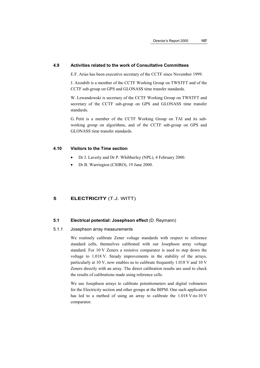### **4.9 Activities related to the work of Consultative Committees**

E.F. Arias has been executive secretary of the CCTF since November 1999.

J. Azoubib is a member of the CCTF Working Group on TWSTFT and of the CCTF sub-group on GPS and GLONASS time transfer standards.

W. Lewandowski is secretary of the CCTF Working Group on TWSTFT and secretary of the CCTF sub-group on GPS and GLONASS time transfer standards.

G. Petit is a member of the CCTF Working Group on TAI and its subworking group on algorithms, and of the CCTF sub-group on GPS and GLONASS time transfer standards.

#### **4.10 Visitors to the Time section**

- Dr J. Laverty and Dr P. Whibberley (NPL), 4 February 2000.
- Dr B. Warrington (CSIRO), 19 June 2000.

### **5 ELECTRICITY** (T.J. WITT)

### **5.1 Electrical potential: Josephson effect** (D. Reymann)

### 5.1.1 Josephson array measurements

We routinely calibrate Zener voltage standards with respect to reference standard cells, themselves calibrated with our Josephson array voltage standard. For 10 V Zeners a resistive comparator is used to step down the voltage to 1.018 V. Steady improvements in the stability of the arrays, particularly at 10 V, now enables us to calibrate frequently 1.018 V and 10 V Zeners directly with an array. The direct calibration results are used to check the results of calibrations made using reference cells.

We use Josephson arrays to calibrate potentiometers and digital voltmeters for the Electricity section and other groups at the BIPM. One such application has led to a method of using an array to calibrate the 1.018 V-to-10 V comparator.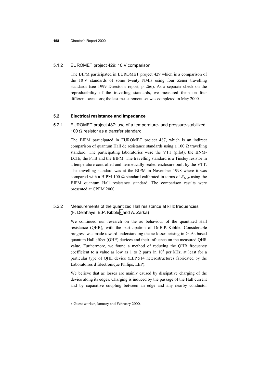### 5.1.2 EUROMET project 429: 10 V comparison

The BIPM participated in EUROMET project 429 which is a comparison of the 10 V standards of some twenty NMIs using four Zener travelling standards (see 1999 Director's report, p. 266). As a separate check on the reproducibility of the travelling standards, we measured them on four different occasions; the last measurement set was completed in May 2000.

### **5.2 Electrical resistance and impedance**

# 5.2.1 EUROMET project 487: use of a temperature- and pressure-stabilized 100  $\Omega$  resistor as a transfer standard

The BIPM participated in EUROMET project 487, which is an indirect comparison of quantum Hall dc resistance standards using a  $100 \Omega$  travelling standard. The participating laboratories were the VTT (pilot), the BNM-LCIE, the PTB and the BIPM. The travelling standard is a Tinsley resistor in a temperature-controlled and hermetically-sealed enclosure built by the VTT. The travelling standard was at the BIPM in November 1998 where it was compared with a BIPM 100 Ω standard calibrated in terms of  $R_{K-90}$  using the BIPM quantum Hall resistance standard. The comparison results were presented at CPEM 2000.

# 5.2.2 Measurements of the quantized Hall resistance at kHz frequencies (F. Delahaye, B.P. Kibble∗ and A. Zarka)

We continued our research on the ac behaviour of the quantized Hall resistance (QHR), with the participation of Dr B.P. Kibble. Considerable progress was made toward understanding the ac losses arising in GaAs-based quantum Hall effect (QHE) devices and their influence on the measured QHR value. Furthermore, we found a method of reducing the QHR frequency coefficient to a value as low as 1 to 2 parts in  $10^8$  per kHz, at least for a particular type of QHE device (LEP 514 heterostructures fabricated by the Laboratoires d'Électronique Philips, LEP).

We believe that ac losses are mainly caused by dissipative charging of the device along its edges. Charging is induced by the passage of the Hall current and by capacitive coupling between an edge and any nearby conductor

l

<sup>∗</sup> Guest worker, January and February 2000.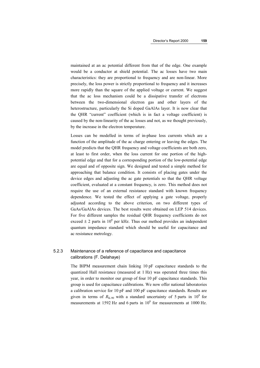maintained at an ac potential different from that of the edge. One example would be a conductor at shield potential. The ac losses have two main characteristics: they are proportional to frequency and are non-linear. More precisely, the loss power is strictly proportional to frequency and it increases more rapidly than the square of the applied voltage or current. We suggest that the ac loss mechanism could be a dissipative transfer of electrons between the two-dimensional electron gas and other layers of the heterostructure, particularly the Si doped GaAlAs layer. It is now clear that the QHR "current" coefficient (which is in fact a voltage coefficient) is caused by the non-linearity of the ac losses and not, as we thought previously, by the increase in the electron temperature.

Losses can be modelled in terms of in-phase loss currents which are a function of the amplitude of the ac charge entering or leaving the edges. The model predicts that the QHR frequency and voltage coefficients are both zero, at least to first order, when the loss current for one portion of the highpotential edge and that for a corresponding portion of the low-potential edge are equal and of opposite sign. We designed and tested a simple method for approaching that balance condition. It consists of placing gates under the device edges and adjusting the ac gate potentials so that the QHR voltage coefficient, evaluated at a constant frequency, is zero. This method does not require the use of an external resistance standard with known frequency dependence. We tested the effect of applying a gate voltage, properly adjusted according to the above criterion, on two different types of GaAs/GaAlAs devices. The best results were obtained on LEP 514 devices. For five different samples the residual QHR frequency coefficients do not exceed  $\pm$  2 parts in 10<sup>8</sup> per kHz. Thus our method provides an independent quantum impedance standard which should be useful for capacitance and ac resistance metrology.

# 5.2.3 Maintenance of a reference of capacitance and capacitance calibrations (F. Delahaye)

The BIPM measurement chain linking 10 pF capacitance standards to the quantized Hall resistance (measured at 1 Hz) was operated three times this year, in order to monitor our group of four 10 pF capacitance standards. This group is used for capacitance calibrations. We now offer national laboratories a calibration service for 10 pF and 100 pF capacitance standards. Results are given in terms of  $R_{K-90}$  with a standard uncertainty of 5 parts in 10<sup>8</sup> for measurements at 1592 Hz and 6 parts in  $10^8$  for measurements at 1000 Hz.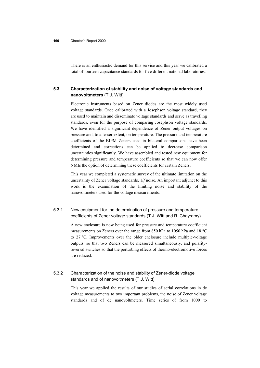There is an enthusiastic demand for this service and this year we calibrated a total of fourteen capacitance standards for five different national laboratories.

# **5.3 Characterization of stability and noise of voltage standards and nanovoltmeters** (T.J. Witt)

Electronic instruments based on Zener diodes are the most widely used voltage standards. Once calibrated with a Josephson voltage standard, they are used to maintain and disseminate voltage standards and serve as travelling standards, even for the purpose of comparing Josephson voltage standards. We have identified a significant dependence of Zener output voltages on pressure and, to a lesser extent, on temperature. The pressure and temperature coefficients of the BIPM Zeners used in bilateral comparisons have been determined and corrections can be applied to decrease comparison uncertainties significantly. We have assembled and tested new equipment for determining pressure and temperature coefficients so that we can now offer NMIs the option of determining these coefficients for certain Zeners.

This year we completed a systematic survey of the ultimate limitation on the uncertainty of Zener voltage standards, 1/*f* noise. An important adjunct to this work is the examination of the limiting noise and stability of the nanovoltmeters used for the voltage measurements.

# 5.3.1 New equipment for the determination of pressure and temperature coefficients of Zener voltage standards (T.J. Witt and R. Chayramy)

A new enclosure is now being used for pressure and temperature coefficient measurements on Zeners over the range from 850 hPa to 1050 hPa and 18 °C to 27 °C. Improvements over the older enclosure include multiple-voltage outputs, so that two Zeners can be measured simultaneously, and polarityreversal switches so that the perturbing effects of thermo-electromotive forces are reduced.

# 5.3.2 Characterization of the noise and stability of Zener-diode voltage standards and of nanovoltmeters (T.J. Witt)

This year we applied the results of our studies of serial correlations in dc voltage measurements to two important problems, the noise of Zener voltage standards and of dc nanovoltmeters. Time series of from 1000 to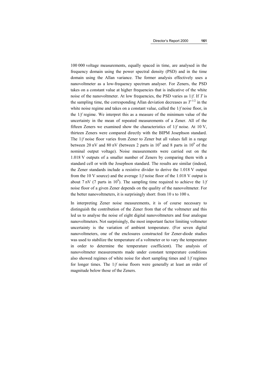100 000 voltage measurements, equally spaced in time, are analysed in the frequency domain using the power spectral density (PSD) and in the time domain using the Allan variance. The former analysis effectively uses a nanovoltmeter as a low-frequency spectrum analyser. For Zeners, the PSD takes on a constant value at higher frequencies that is indicative of the white noise of the nanovoltmeter. At low frequencies, the PSD varies as 1/*f*. If *T* is the sampling time, the corresponding Allan deviation decreases as  $T^{-1/2}$  in the white noise regime and takes on a constant value, called the 1/*f* noise floor, in the 1/*f* regime. We interpret this as a measure of the minimum value of the uncertainty in the mean of repeated measurements of a Zener. All of the fifteen Zeners we examined show the characteristics of 1/*f* noise. At 10 V, thirteen Zeners were compared directly with the BIPM Josephson standard. The  $1/f$  noise floor varies from Zener to Zener but all values fall in a range between 20 nV and 80 nV (between 2 parts in  $10^9$  and 8 parts in  $10^9$  of the nominal output voltage). Noise measurements were carried out on the 1.018 V outputs of a smaller number of Zeners by comparing them with a standard cell or with the Josephson standard. The results are similar (indeed, the Zener standards include a resistive divider to derive the 1.018 V output from the 10 V source) and the average 1/*f* noise floor of the 1.018 V output is about 7 nV (7 parts in 10<sup>9</sup>). The sampling time required to achieve the  $1/f$ noise floor of a given Zener depends on the quality of the nanovoltmeter. For the better nanovoltmeters, it is surprisingly short: from 10 s to 100 s.

In interpreting Zener noise measurements, it is of course necessary to distinguish the contribution of the Zener from that of the voltmeter and this led us to analyse the noise of eight digital nanovoltmeters and four analogue nanovoltmeters. Not surprisingly, the most important factor limiting voltmeter uncertainty is the variation of ambient temperature. (For seven digital nanovoltmeters, one of the enclosures constructed for Zener-diode studies was used to stabilize the temperature of a voltmeter or to vary the temperature in order to determine the temperature coefficient). The analysis of nanovoltmeter measurements made under constant temperature conditions also showed regimes of white noise for short sampling times and 1/*f* regimes for longer times. The 1/*f* noise floors were generally at least an order of magnitude below those of the Zeners.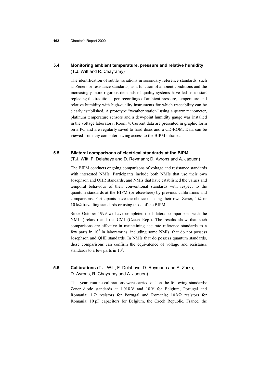# **5.4 Monitoring ambient temperature, pressure and relative humidity** (T.J. Witt and R. Chayramy)

The identification of subtle variations in secondary reference standards, such as Zeners or resistance standards, as a function of ambient conditions and the increasingly more rigorous demands of quality systems have led us to start replacing the traditional pen recordings of ambient pressure, temperature and relative humidity with high-quality instruments for which traceability can be clearly established. A prototype "weather station" using a quartz manometer, platinum temperature sensors and a dew-point humidity gauge was installed in the voltage laboratory, Room 4. Current data are presented in graphic form on a PC and are regularly saved to hard discs and a CD-ROM. Data can be viewed from any computer having access to the BIPM intranet.

### **5.5 Bilateral comparisons of electrical standards at the BIPM**

(T.J. Witt, F. Delahaye and D. Reymann; D. Avrons and A. Jaouen)

The BIPM conducts ongoing comparisons of voltage and resistance standards with interested NMIs. Participants include both NMIs that use their own Josephson and QHR standards, and NMIs that have established the values and temporal behaviour of their conventional standards with respect to the quantum standards at the BIPM (or elsewhere) by previous calibrations and comparisons. Participants have the choice of using their own Zener,  $1 \Omega$  or 10 kΩ travelling standards or using those of the BIPM.

Since October 1999 we have completed the bilateral comparisons with the NML (Ireland) and the CMI (Czech Rep.). The results show that such comparisons are effective in maintaining accurate reference standards to a few parts in  $10<sup>7</sup>$  in laboratories, including some NMIs, that do not possess Josephson and QHE standards. In NMIs that do possess quantum standards, these comparisons can confirm the equivalence of voltage and resistance standards to a few parts in  $10^8$ .

# **5.6 Calibrations** (T.J. Witt, F. Delahaye, D. Reymann and A. Zarka; D. Avrons, R. Chayramy and A. Jaouen)

This year, routine calibrations were carried out on the following standards: Zener diode standards at 1.018 V and 10 V for Belgium, Portugal and Romania;  $1 \Omega$  resistors for Portugal and Romania;  $10 \text{ k}\Omega$  resistors for Romania; 10 pF capacitors for Belgium, the Czech Republic, France, the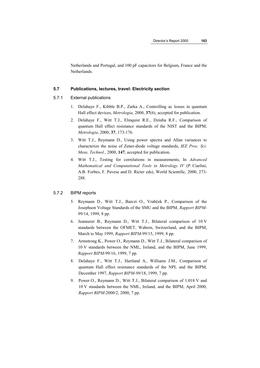Netherlands and Portugal, and 100 pF capacitors for Belgium, France and the Netherlands.

### **5.7 Publications, lectures, travel: Electricity section**

### 5.7.1 External publications

- 1. Delahaye F., Kibble B.P., Zarka A., Controlling ac losses in quantum Hall effect devices, *Metrologia*, 2000, **37**(6), accepted for publication.
- 2. Delahaye F., Witt T.J., Elmquist R.E., Dziuba R.F., Comparison of quantum Hall effect resistance standards of the NIST and the BIPM, *Metrologia*, 2000, **37**, 173-176.
- 3. Witt T.J., Reymann D., Using power spectra and Allan variances to characterize the noise of Zener-diode voltage standards, *IEE Proc. Sci. Meas. Technol.,* 2000, **147**, accepted for publication.
- 4. Witt T.J., Testing for correlations in measurements, In *Advanced Mathematical and Computational Tools in Metrology IV* (P. Ciarlini, A.B. Forbes, F. Pavese and D. Ricter eds), World Scientific, 2000, 273- 288.

#### 5.7.2 BIPM reports

- 5. Reymann D., Witt T.J., Barczi O., Vrabček P., Comparison of the Josephson Voltage Standards of the SMU and the BIPM, *Rapport BIPM*-99/14, 1999, 8 pp.
- 6. Jeanneret B., Reymann D., Witt T.J., Bilateral comparison of 10 V standards between the OFMET, Wabern, Switzerland, and the BIPM, March to May 1999, *Rapport BIPM*-99/15, 1999, 8 pp.
- 7. Armstrong K., Power O., Reymann D., Witt T.J., Bilateral comparison of 10 V standards between the NML, Ireland, and the BIPM, June 1999, *Rapport BIPM*-99/16, 1999, 7 pp.
- 8. Delahaye F., Witt T.J., Hartland A., Williams J.M., Comparison of quantum Hall effect resistance standards of the NPL and the BIPM, December 1997, *Rapport BIPM-99/*18, 1999, 7 pp.
- 9. Power O., Reymann D., Witt T.J., Bilateral comparison of 1.018 V and 10 V standards between the NML, Ireland, and the BIPM, April 2000, *Rapport BIPM*-2000/2, 2000, 7 pp.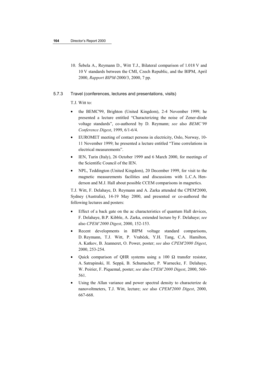10. Šebela A., Reymann D., Witt T.J., Bilateral comparison of 1.018 V and 10 V standards between the CMI, Czech Republic, and the BIPM, April 2000, *Rapport BIPM*-2000/3, 2000, 7 pp.

### 5.7.3 Travel (conferences, lectures and presentations, visits)

T.J. Witt to:

- the BEMC'99, Brighton (United Kingdom), 2-4 November 1999; he presented a lecture entitled "Characterizing the noise of Zener-diode voltage standards", co-authored by D. Reymann; *see* also *BEMC'99 Conference Digest*, 1999, 6/1-6/4.
- EUROMET meeting of contact persons in electricity, Oslo, Norway, 10- 11 November 1999; he presented a lecture entitled "Time correlations in electrical measurements".
- IEN, Turin (Italy), 26 October 1999 and 6 March 2000, for meetings of the Scientific Council of the IEN.
- NPL, Teddington (United Kingdom), 20 December 1999, for visit to the magnetic measurements facilities and discussions with L.C.A. Henderson and M.J. Hall about possible CCEM comparisons in magnetics.

T.J. Witt, F. Delahaye, D. Reymann and A. Zarka attended the CPEM'2000, Sydney (Australia), 14-19 May 2000, and presented or co-authored the following lectures and posters:

- Effect of a back gate on the ac characteristics of quantum Hall devices, F. Delahaye, B.P. Kibble, A. Zarka, extended lecture by F. Delahaye; *see* also *CPEM'2000 Digest*, 2000, 152-153.
- Recent developments in BIPM voltage standard comparisons, D. Reymann, T.J. Witt, P. Vrabček, Y.H. Tang, C.A. Hamilton, A. Katkov, B. Jeanneret, O. Power, poster; *see* also *CPEM'2000 Digest*, 2000, 253-254.
- Quick comparison of QHR systems using a 100  $\Omega$  transfer resistor, A. Satrapinski, H. Seppä, B. Schumacher, P. Warnecke, F. Delahaye, W. Poirier, F. Piquemal, poster; *see* also *CPEM'2000 Digest*, 2000, 560- 561.
- Using the Allan variance and power spectral density to characterize dc nanovoltmeters, T.J. Witt, lecture; *see* also *CPEM'2000 Digest*, 2000, 667-668.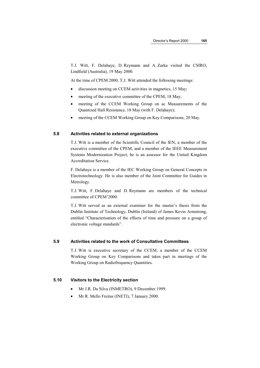T.J. Witt, F. Delahaye, D. Reymann and A. Zarka visited the CSIRO, Lindfield (Australia), 19 May 2000.

At the time of CPEM 2000, T.J. Witt attended the following meetings:

- discussion meeting on CCEM activities in magnetics, 15 May;
- meeting of the executive committee of the CPEM, 18 May;
- meeting of the CCEM Working Group on ac Measurements of the Quantized Hall Resistance, 18 May (with F. Delahaye);
- meeting of the CCEM Working Group on Key Comparisons, 20 May.

#### **5.8 Activities related to external organizations**

T.J. Witt is a member of the Scientific Council of the IEN, a member of the executive committee of the CPEM, and a member of the IEEE Measurement Systems Modernization Project; he is an assessor for the United Kingdom Accreditation Service.

F. Delahaye is a member of the IEC Working Group on General Concepts in Electrotechnology. He is also member of the Joint Committee for Guides in Metrology.

T.J. Witt, F. Delahaye and D. Reymann are members of the technical committee of CPEM'2000.

T.J. Witt served as an external examiner for the master's thesis from the Dublin Institute of Technology, Dublin (Ireland) of James Kevin Armstrong, entitled "Characterisation of the effects of time and pressure on a group of electronic voltage standards".

### **5.9 Activities related to the work of Consultative Committees**

T.J. Witt is executive secretary of the CCEM, a member of the CCEM Working Group on Key Comparisons and takes part in meetings of the Working Group on Radiofrequency Quantities.

### **5.10 Visitors to the Electricity section**

- Mr J.R. Da Silva (INMETRO), 9 December 1999.
- Mr R. Mello Freitas (INETI), 7 January 2000.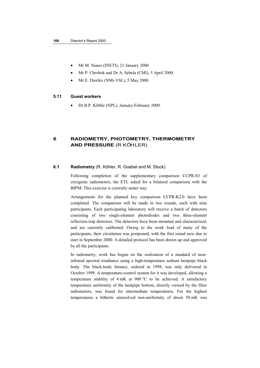- Mr M. Nunes (INETI), 21 January 2000
- Mr P. Chrobok and Dr A. Sebela (CMI), 5 April 2000.
- Mr E. Dierikx (NMi-VSL), 5 May 2000.

### **5.11 Guest workers**

• Dr B.P. Kibble (NPL), January-February 2000.

# **6 RADIOMETRY, PHOTOMETRY, THERMOMETRY AND PRESSURE** (R KÖHLER)

### **6.1 Radiometry** (R. Köhler, R. Goebel and M. Stock)

Following completion of the supplementary comparison CCPR-S3 of cryogenic radiometers, the ETL asked for a bilateral comparison with the BIPM. This exercise is currently under way.

Arrangements for the planned key comparison CCPR-K2.b have been completed. The comparison will be made in two rounds, each with nine participants. Each participating laboratory will receive a batch of detectors consisting of two single-element photodiodes and two three-element reflection trap detectors. The detectors have been mounted and characterized, and are currently calibrated. Owing to the work load of many of the participants, their circulation was postponed, with the first round now due to start in September 2000. A detailed protocol has been drawn up and approved by all the participants.

In radiometry, work has begun on the realization of a standard of nearinfrared spectral irradiance using a high-temperature sodium heatpipe black body. The black-body furnace, ordered in 1998, was only delivered in October 1999. A temperature-control system for it was developed, allowing a temperature stability of 4 mK at 900 °C to be achieved. A satisfactory temperature uniformity of the heatpipe bottom, directly viewed by the filter radiometers, was found for intermediate temperatures. For the highest temperatures a hitherto unresolved non-uniformity of about 50 mK was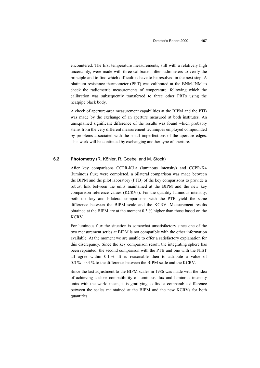encountered. The first temperature measurements, still with a relatively high uncertainty, were made with three calibrated filter radiometers to verify the principle and to find which difficulties have to be resolved in the next step. A platinum resistance thermometer (PRT) was calibrated at the BNM-INM to check the radiometric measurements of temperature, following which the calibration was subsequently transferred to three other PRTs using the heatpipe black body.

A check of aperture-area measurement capabilities at the BIPM and the PTB was made by the exchange of an aperture measured at both institutes. An unexplained significant difference of the results was found which probably stems from the very different measurement techniques employed compounded by problems associated with the small imperfections of the aperture edges. This work will be continued by exchanging another type of aperture.

### **6.2 Photometry** (R. Köhler, R. Goebel and M. Stock)

After key comparisons CCPR-K3.a (luminous intensity) and CCPR-K4 (luminous flux) were completed, a bilateral comparison was made between the BIPM and the pilot laboratory (PTB) of the key comparisons to provide a robust link between the units maintained at the BIPM and the new key comparison reference values (KCRVs). For the quantity luminous intensity, both the key and bilateral comparisons with the PTB yield the same difference between the BIPM scale and the KCRV. Measurement results obtained at the BIPM are at the moment 0.3 % higher than those based on the KCRV.

For luminous flux the situation is somewhat unsatisfactory since one of the two measurement series at BIPM is not compatible with the other information available. At the moment we are unable to offer a satisfactory explanation for this discrepancy. Since the key comparison result, the integrating sphere has been repainted: the second comparison with the PTB and one with the NIST all agree within 0.1 %. It is reasonable then to attribute a value of 0.3 % - 0.4 % to the difference between the BIPM scale and the KCRV.

Since the last adjustment to the BIPM scales in 1986 was made with the idea of achieving a close compatibility of luminous flux and luminous intensity units with the world mean, it is gratifying to find a comparable difference between the scales maintained at the BIPM and the new KCRVs for both quantities.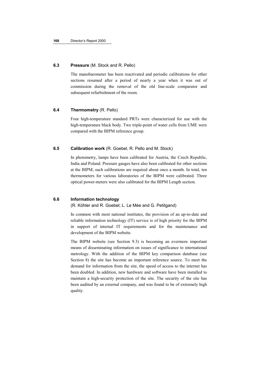### **6.3 Pressure** (M. Stock and R. Pello)

The manobarometer has been reactivated and periodic calibrations for other sections resumed after a period of nearly a year when it was out of commission during the removal of the old line-scale comparator and subsequent refurbishment of the room.

### **6.4 Thermometry** (R. Pello)

Four high-temperature standard PRTs were characterized for use with the high-temperature black body. Two triple-point of water cells from UME were compared with the BIPM reference group.

### **6.5 Calibration work** (R. Goebel, R. Pello and M. Stock)

In photometry, lamps have been calibrated for Austria, the Czech Republic, India and Poland. Pressure gauges have also been calibrated for other sections at the BIPM; such calibrations are required about once a month. In total, ten thermometers for various laboratories of the BIPM were calibrated. Three optical power-meters were also calibrated for the BIPM Length section.

# **6.6 Information technology**

(R. Köhler and R. Goebel; L. Le Mée and G. Petitgand)

In common with most national institutes, the provision of an up-to-date and reliable information technology (IT) service is of high priority for the BIPM in support of internal IT requirements and for the maintenance and development of the BIPM website.

The BIPM website (see Section 9.3) is becoming an evermore important means of disseminating information on issues of significance to international metrology. With the addition of the BIPM key comparison database (see Section 8) the site has become an important reference source. To meet the demand for information from the site, the speed of access to the internet has been doubled. In addition, new hardware and software have been installed to maintain a high-security protection of the site. The security of the site has been audited by an external company, and was found to be of extremely high quality.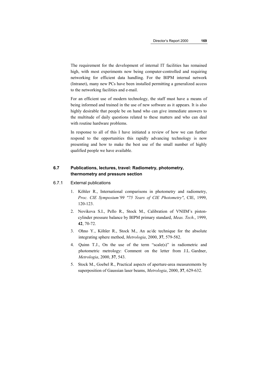The requirement for the development of internal IT facilities has remained high, with most experiments now being computer-controlled and requiring networking for efficient data handling. For the BIPM internal network (Intranet), many new PCs have been installed permitting a generalized access to the networking facilities and e-mail.

For an efficient use of modern technology, the staff must have a means of being informed and trained in the use of new software as it appears. It is also highly desirable that people be on hand who can give immediate answers to the multitude of daily questions related to these matters and who can deal with routine hardware problems.

In response to all of this I have initiated a review of how we can further respond to the opportunities this rapidly advancing technology is now presenting and how to make the best use of the small number of highly qualified people we have available.

# **6.7 Publications, lectures, travel: Radiometry, photometry, thermometry and pressure section**

### 6.7.1 External publications

- 1. Köhler R., International comparisons in photometry and radiometry, *Proc. CIE Symposium'99 "75 Years of CIE Photometry"*, CIE, 1999, 120-123.
- 2. Novikova S.I., Pello R., Stock M., Calibration of VNIIM's pistoncylinder pressure balance by BIPM primary standard, *Meas. Tech.*, 1999, **42**, 70-72.
- 3. Ohno Y., Köhler R., Stock M., An ac/dc technique for the absolute integrating sphere method, *Metrologia*, 2000, **37**, 579-582.
- 4. Quinn T.J., On the use of the term "scale(s)" in radiometric and photometric metrology: Comment on the letter from J.L. Gardner, *Metrologia*, 2000, **37**, 543.
- 5. Stock M., Goebel R., Practical aspects of aperture-area measurements by superposition of Gaussian laser beams, *Metrologia*, 2000, **37**, 629-632.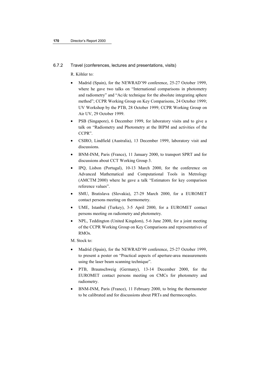#### 6.7.2 Travel (conferences, lectures and presentations, visits)

R. Köhler to:

- Madrid (Spain), for the NEWRAD'99 conference, 25-27 October 1999, where he gave two talks on "International comparisons in photometry and radiometry" and "Ac/dc technique for the absolute integrating sphere method"; CCPR Working Group on Key Comparisons, 24 October 1999; UV Workshop by the PTB, 28 October 1999; CCPR Working Group on Air UV, 29 October 1999.
- PSB (Singapore), 6 December 1999, for laboratory visits and to give a talk on "Radiometry and Photometry at the BIPM and activities of the CCPR".
- CSIRO, Lindfield (Australia), 13 December 1999, laboratory visit and discussions.
- BNM-INM, Paris (France), 11 January 2000, to transport SPRT and for discussions about CCT Working Group 3.
- IPQ, Lisbon (Portugal), 10-13 March 2000, for the conference on Advanced Mathematical and Computational Tools in Metrology (AMCTM 2000) where he gave a talk "Estimators for key comparison reference values".
- SMU, Bratislava (Slovakia), 27-29 March 2000, for a EUROMET contact persons meeting on thermometry.
- UME, Istanbul (Turkey), 3-5 April 2000, for a EUROMET contact persons meeting on radiometry and photometry.
- NPL, Teddington (United Kingdom), 5-6 June 2000, for a joint meeting of the CCPR Working Group on Key Comparisons and representatives of RMOs.

M. Stock to:

- Madrid (Spain), for the NEWRAD'99 conference, 25-27 October 1999, to present a poster on "Practical aspects of aperture-area measurements using the laser beam scanning technique".
- PTB, Braunschweig (Germany), 13-14 December 2000, for the EUROMET contact persons meeting on CMCs for photometry and radiometry.
- BNM-INM, Paris (France), 11 February 2000, to bring the thermometer to be calibrated and for discussions about PRTs and thermocouples.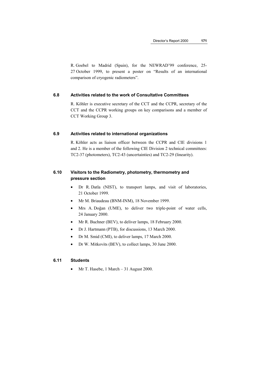R. Goebel to Madrid (Spain), for the NEWRAD'99 conference, 25- 27 October 1999, to present a poster on "Results of an international comparison of cryogenic radiometers".

### **6.8 Activities related to the work of Consultative Committees**

R. Köhler is executive secretary of the CCT and the CCPR, secretary of the CCT and the CCPR working groups on key comparisons and a member of CCT Working Group 3.

#### **6.9 Activities related to international organizations**

R. Köhler acts as liaison officer between the CCPR and CIE divisions 1 and 2. He is a member of the following CIE Division 2 technical committees: TC2-37 (photometers), TC2-43 (uncertainties) and TC2-29 (linearity).

# **6.10 Visitors to the Radiometry, photometry, thermometry and pressure section**

- Dr R. Datla (NIST), to transport lamps, and visit of laboratories, 21 October 1999.
- Mr M. Briaudeau (BNM-INM), 18 November 1999.
- Mrs A. Doğan (UME), to deliver two triple-point of water cells, 24 January 2000.
- Mr R. Buchner (BEV), to deliver lamps, 18 February 2000.
- Dr J. Hartmann (PTB), for discussions, 13 March 2000.
- Dr M. Smid (CMI), to deliver lamps, 17 March 2000.
- Dr W. Mitkovits (BEV), to collect lamps, 30 June 2000.

### **6.11 Students**

• Mr T. Hasebe, 1 March – 31 August 2000.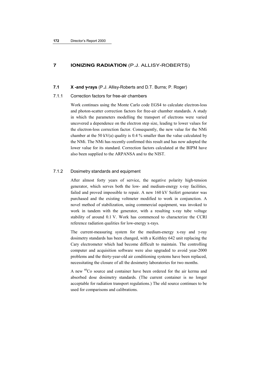# **7 IONIZING RADIATION** (P.J. ALLISY-ROBERTS)

#### **7.1 X -and** γ**-rays** (P.J. Allisy-Roberts and D.T. Burns; P. Roger)

### 7.1.1 Correction factors for free-air chambers

Work continues using the Monte Carlo code EGS4 to calculate electron-loss and photon-scatter correction factors for free-air chamber standards. A study in which the parameters modelling the transport of electrons were varied uncovered a dependence on the electron step size, leading to lower values for the electron-loss correction factor. Consequently, the new value for the NMi chamber at the 50 kV(a) quality is 0.4 % smaller than the value calculated by the NMi. The NMi has recently confirmed this result and has now adopted the lower value for its standard. Correction factors calculated at the BIPM have also been supplied to the ARPANSA and to the NIST.

### 7.1.2 Dosimetry standards and equipment

After almost forty years of service, the negative polarity high-tension generator, which serves both the low- and medium-energy x-ray facilities, failed and proved impossible to repair. A new 160 kV Seifert generator was purchased and the existing voltmeter modified to work in conjunction. A novel method of stabilization, using commercial equipment, was invoked to work in tandem with the generator, with a resulting x-ray tube voltage stability of around 0.1 V. Work has commenced to characterize the CCRI reference radiation qualities for low-energy x-rays.

The current-measuring system for the medium-energy x-ray and γ-ray dosimetry standards has been changed, with a Keithley 642 unit replacing the Cary electrometer which had become difficult to maintain. The controlling computer and acquisition software were also upgraded to avoid year-2000 problems and the thirty-year-old air conditioning systems have been replaced, necessitating the closure of all the dosimetry laboratories for two months.

A new <sup>60</sup>Co source and container have been ordered for the air kerma and absorbed dose dosimetry standards. (The current container is no longer acceptable for radiation transport regulations.) The old source continues to be used for comparisons and calibrations.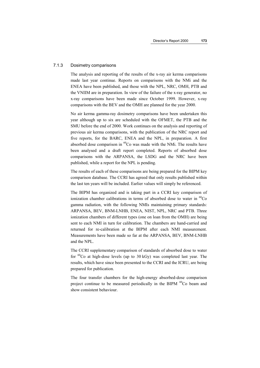#### 7.1.3 Dosimetry comparisons

The analysis and reporting of the results of the x-ray air kerma comparisons made last year continue. Reports on comparisons with the NMi and the ENEA have been published, and those with the NPL, NRC, OMH, PTB and the VNIIM are in preparation. In view of the failure of the x-ray generator, no x-ray comparisons have been made since October 1999. However, x-ray comparisons with the BEV and the OMH are planned for the year 2000.

No air kerma gamma-ray dosimetry comparisons have been undertaken this year although up to six are scheduled with the OFMET, the PTB and the SMU before the end of 2000. Work continues on the analysis and reporting of previous air kerma comparisons, with the publication of the NRC report and five reports, for the BARC, ENEA and the NPL, in preparation. A first absorbed dose comparison in  ${}^{60}Co$  was made with the NMi. The results have been analysed and a draft report completed. Reports of absorbed dose comparisons with the ARPANSA, the LSDG and the NRC have been published, while a report for the NPL is pending.

The results of each of these comparisons are being prepared for the BIPM key comparison database. The CCRI has agreed that only results published within the last ten years will be included. Earlier values will simply be referenced.

The BIPM has organized and is taking part in a CCRI key comparison of ionization chamber calibrations in terms of absorbed dose to water in  ${}^{60}Co$ gamma radiation, with the following NMIs maintaining primary standards: ARPANSA, BEV, BNM-LNHB, ENEA, NIST, NPL, NRC and PTB. Three ionization chambers of different types (one on loan from the OMH) are being sent to each NMI in turn for calibration. The chambers are hand-carried and returned for re-calibration at the BIPM after each NMI measurement. Measurements have been made so far at the ARPANSA, BEV, BNM-LNHB and the NPL.

The CCRI supplementary comparison of standards of absorbed dose to water for  ${}^{60}$ Co at high-dose levels (up to 30 kGy) was completed last year. The results, which have since been presented to the CCRI and the ICRU, are being prepared for publication.

The four transfer chambers for the high-energy absorbed-dose comparison project continue to be measured periodically in the BIPM <sup>60</sup>Co beam and show consistent behaviour.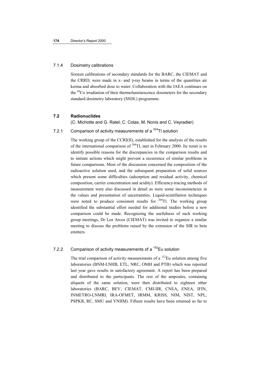### 7.1.4 Dosimetry calibrations

Sixteen calibrations of secondary standards for the BARC, the CIEMAT and the CRRD, were made in x- and  $\gamma$ -ray beams in terms of the quantities air kerma and absorbed dose to water. Collaboration with the IAEA continues on the <sup>60</sup>Co irradiation of their thermoluminescence dosimeters for the secondary standard dosimetry laboratory (SSDL) programme.

#### **7.2 Radionuclides**

(C. Michotte and G. Ratel; C. Colas, M. Nonis and C. Veyradier)

# 7.2.1 Comparison of activity measurements of a  $^{204}$ TI solution

The working group of the CCRI(II), established for the analysis of the results of the international comparison of  $204$ Tl, met in February 2000. Its remit is to identify possible reasons for the discrepancies in the comparison results and to initiate actions which might prevent a recurrence of similar problems in future comparisons. Most of the discussion concerned the composition of the radioactive solution used, and the subsequent preparation of solid sources which present some difficulties (adsorption and residual activity, chemical composition, carrier concentration and acidity). Efficiency-tracing methods of measurement were also discussed in detail as were some inconsistencies in the values and presentation of uncertainties. Liquid-scintillation techniques were noted to produce consistent results for <sup>204</sup>Tl. The working group identified the substantial effort needed for additional studies before a new comparison could be made. Recognizing the usefulness of such working group meetings, Dr Los Arcos (CIEMAT) was invited to organize a similar meeting to discuss the problems raised by the extension of the SIR to beta emitters.

# 7.2.2 Comparison of activity measurements of a <sup>152</sup>Eu solution

The trial comparison of activity measurements of a  $152$ Eu solution among five laboratories (BNM-LNHB, ETL, NRC, OMH and PTB) which was reported last year gave results in satisfactory agreement. A report has been prepared and distributed to the participants. The rest of the ampoules, containing aliquots of the same solution, were then distributed to eighteen other laboratories (BARC, BEV, CIEMAT, CMI-IIR, CNEA, ENEA, IFIN, INMETRO-LNMRI, IRA-OFMET, IRMM, KRISS, NIM, NIST, NPL, PSPKR, RC, SMU and VNIIM). Fifteen results have been returned so far to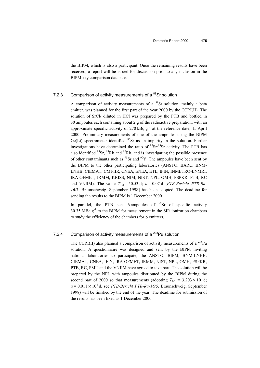the BIPM, which is also a participant. Once the remaining results have been received, a report will be issued for discussion prior to any inclusion in the BIPM key comparison database.

# 7.2.3 Comparison of activity measurements of a <sup>89</sup>Sr solution

A comparison of activity measurements of a  ${}^{89}Sr$  solution, mainly a beta emitter, was planned for the first part of the year 2000 by the CCRI(II). The solution of  $SrCl<sub>2</sub>$  diluted in HCl was prepared by the PTB and bottled in 30 ampoules each containing about 2 g of the radioactive preparation, with an approximate specific activity of 270 kBq  $g^{-1}$  at the reference date, 15 April 2000. Preliminary measurements of one of the ampoules using the BIPM  $Ge(Li)$  spectrometer identified  ${}^{85}Sr$  as an impurity in the solution. Further investigations have determined the ratio of  ${}^{85}Sr/{}^{89}Sr$  activity. The PTB has also identified  ${}^{85}Sr$ ,  ${}^{84}Rb$  and  ${}^{86}Rb$ , and is investigating the possible presence of other contaminants such as  $^{90}Sr$  and  $^{90}Y$ . The ampoules have been sent by the BIPM to the other participating laboratories (ANSTO, BARC, BNM-LNHB, CIEMAT, CMI-IIR, CNEA, ENEA, ETL, IFIN, INMETRO-LNMRI, IRA-OFMET, IRMM, KRISS, NIM, NIST, NPL, OMH, PSPKR, PTB, RC and VNIIM). The value  $T_{1/2} = 50.53$  d;  $u = 0.07$  d [*PTB-Bericht PTB-Ra-16/5*, Braunschweig, September 1998] has been adopted. The deadline for sending the results to the BIPM is 1 December 2000.

In parallel, the PTB sent 6 ampoules of  ${}^{89}Sr$  of specific activity 30.35 MBq  $g^{-1}$  to the BIPM for measurement in the SIR ionization chambers to study the efficiency of the chambers for β emitters.

# 7.2.4 Comparison of activity measurements of a <sup>238</sup>Pu solution

The CCRI(II) also planned a comparison of activity measurements of a  $^{238}$ Pu solution. A questionnaire was designed and sent by the BIPM inviting national laboratories to participate; the ANSTO, BIPM, BNM-LNHB, CIEMAT, CNEA, IFIN, IRA-OFMET, IRMM, NIST, NPL, OMH, PSPKR, PTB, RC, SMU and the VNIIM have agreed to take part. The solution will be prepared by the NPL with ampoules distributed by the BIPM during the second part of 2000 so that measurements (adopting  $T_{1/2} = 3.203 \times 10^4$  d;  $u = 0.011 \times 10^4$  d, see *PTB-Bericht PTB-Ra-16/5*, Braunschweig, September 1998) will be finished by the end of the year. The deadline for submission of the results has been fixed as 1 December 2000.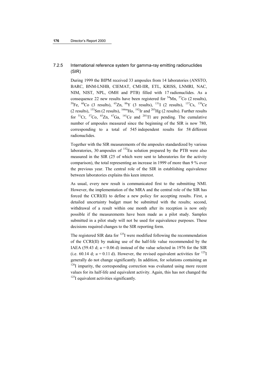## 7.2.5 International reference system for gamma-ray emitting radionuclides (SIR)

During 1999 the BIPM received 33 ampoules from 14 laboratories (ANSTO, BARC, BNM-LNHB, CIEMAT, CMI-IIR, ETL, KRISS, LNMRI, NAC, NIM, NIST, NPL, OMH and PTB) filled with 17 radionuclides. As a consequence 22 new results have been registered for  ${}^{54}$ Mn,  ${}^{57}$ Co (2 results), <sup>59</sup>Fe, <sup>60</sup>Co (3 results), <sup>65</sup>Zn, <sup>88</sup>Y (3 results), <sup>131</sup>I (2 results), <sup>137</sup>Cs, <sup>139</sup>Ce  $(2$  results),  $^{153}$ Sm (2 results),  $^{166m}$ Ho,  $^{192}$ Ir and  $^{203}$ Hg (2 results). Further results for  ${}^{51}Cr$ ,  ${}^{57}Co$ ,  ${}^{65}Zn$ ,  ${}^{67}Ga$ ,  ${}^{141}Ce$  and  ${}^{201}Tl$  are pending. The cumulative number of ampoules measured since the beginning of the SIR is now 780, corresponding to a total of 545 independent results for 58 different radionuclides.

Together with the SIR measurements of the ampoules standardized by various laboratories, 30 ampoules of  $^{152}$ Eu solution prepared by the PTB were also measured in the SIR (25 of which were sent to laboratories for the activity comparison), the total representing an increase in 1999 of more than 9 % over the previous year. The central role of the SIR in establishing equivalence between laboratories explains this keen interest.

As usual, every new result is communicated first to the submitting NMI. However, the implementation of the MRA and the central role of the SIR has forced the CCRI(II) to define a new policy for accepting results. First, a detailed uncertainty budget must be submitted with the results; second, withdrawal of a result within one month after its reception is now only possible if the measurements have been made as a pilot study. Samples submitted in a pilot study will not be used for equivalence purposes. These decisions required changes to the SIR reporting form.

The registered SIR data for  $^{125}I$  were modified following the recommendation of the CCRI(II) by making use of the half-life value recommended by the IAEA (59.43 d;  $u = 0.06$  d) instead of the value selected in 1976 for the SIR (i.e. 60.14 d;  $u = 0.11$  d). However, the revised equivalent activities for <sup>125</sup>I generally do not change significantly. In addition, for solutions containing an  $126$ I impurity, the corresponding correction was evaluated using more recent values for its half-life and equivalent activity. Again, this has not changed the  $125$ I equivalent activities significantly.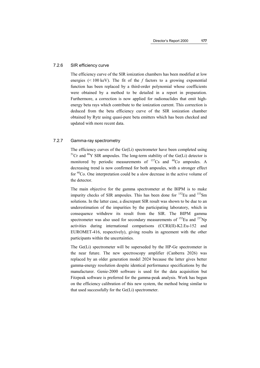#### 7.2.6 SIR efficiency curve

The efficiency curve of the SIR ionization chambers has been modified at low energies (< 100 keV). The fit of the *f* factors to a growing exponential function has been replaced by a third-order polynomial whose coefficients were obtained by a method to be detailed in a report in preparation. Furthermore, a correction is now applied for radionuclides that emit highenergy beta rays which contribute to the ionization current. This correction is deduced from the beta efficiency curve of the SIR ionization chamber obtained by Rytz using quasi-pure beta emitters which has been checked and updated with more recent data.

### 7.2.7 Gamma-ray spectrometry

The efficiency curves of the Ge(Li) spectrometer have been completed using  $51Cr$  and  $88Y$  SIR ampoules. The long-term stability of the Ge(Li) detector is monitored by periodic measurements of  $^{137}Cs$  and  $^{60}Co$  ampoules. A decreasing trend is now confirmed for both ampoules, with a stronger effect for  ${}^{60}Co$ . One interpretation could be a slow decrease in the active volume of the detector.

The main objective for the gamma spectrometer at the BIPM is to make impurity checks of SIR ampoules. This has been done for  $^{152}$ Eu and  $^{153}$ Sm solutions. In the latter case, a discrepant SIR result was shown to be due to an underestimation of the impurities by the participating laboratory, which in consequence withdrew its result from the SIR. The BIPM gamma spectrometer was also used for secondary measurements of  $^{152}$ Eu and  $^{237}$ Np activities during international comparisons (CCRI(II)-K2.Eu-152 and EUROMET-416, respectively), giving results in agreement with the other participants within the uncertainties.

The Ge(Li) spectrometer will be superseded by the HP-Ge spectrometer in the near future. The new spectroscopy amplifier (Canberra 2026) was replaced by an older generation model 2024 because the latter gives better gamma-energy resolution despite identical performance specifications by the manufacturer. Genie-2000 software is used for the data acquisition but Fitzpeak software is preferred for the gamma-peak analysis. Work has begun on the efficiency calibration of this new system, the method being similar to that used successfully for the Ge(Li) spectrometer.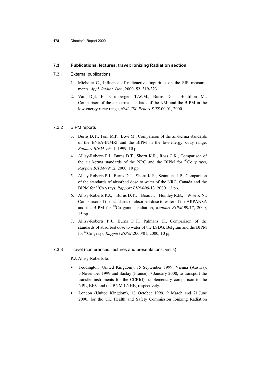### **7.3 Publications, lectures, travel: Ionizing Radiation section**

### 7.3.1 External publications

- 1. Michotte C., Influence of radioactive impurities on the SIR measurements, *Appl. Radiat. Isot*., 2000, **52,** 319-323.
- 2. Van Dijk E., Grimbergen T.W.M., Burns D.T., Boutillon M., Comparison of the air kerma standards of the NMi and the BIPM in the low-energy x-ray range, *NMi-VSL Report S-TS*-00.01, 2000.

#### 7.3.2 BIPM reports

- 3. Burns D.T., Toni M.P., Bovi M., Comparison of the air-kerma standards of the ENEA-INMRI and the BIPM in the low-energy x-ray range, *Rapport BIPM*-99/11, 1999, 10 pp.
- 4. Allisy-Roberts P.J., Burns D.T., Shortt K.R., Ross C.K., Comparison of the air kerma standards of the NRC and the BIPM for  ${}^{60}Co$  γ rays, *Rapport BIPM-*99/12*,* 2000, 10 pp.
- 5. Allisy-Roberts P.J., Burns D.T., Shortt K.R., Seuntjens J.P., Comparison of the standards of absorbed dose to water of the NRC, Canada and the BIPM for 60Co γ rays, *Rapport BIPM-*99/13*,* 2000*,* 12 pp.
- 6. Allisy-Roberts P.J., Burns D.T., Boas J., Huntley R.B., Wise K.N., Comparison of the standards of absorbed dose to water of the ARPANSA and the BIPM for 60Co gamma radiation, *Rapport BIPM*-99/17, 2000, 15 pp.
- 7. Allisy-Roberts P.J., Burns D.T., Palmans H., Comparison of the standards of absorbed dose to water of the LSDG, Belgium and the BIPM for 60Co γ rays, *Rapport BIPM-*2000/01, 2000, 10 pp.
- 7.3.3 Travel (conferences, lectures and presentations, visits)

P.J. Allisy-Roberts to:

- Teddington (United Kingdom), 15 September 1999, Vienna (Austria), 5 November 1999 and Saclay (France), 7 January 2000, to transport the transfer instruments for the CCRI(I) supplementary comparison to the NPL, BEV and the BNM-LNHB, respectively.
- London (United Kingdom), 18 October 1999, 9 March and 21 June 2000, for the UK Health and Safety Commission Ionizing Radiation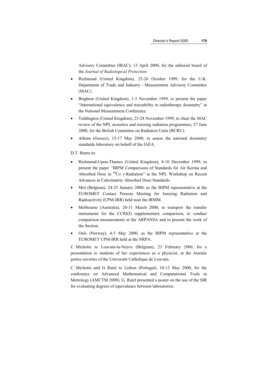Advisory Committee (IRAC); 13 April 2000, for the editorial board of the *Journal of Radiological Protection.*

- Richmond (United Kingdom), 25-26 October 1999, for the U.K. Department of Trade and Industry – Measurement Advisory Committee (MAC).
- Brighton (United Kingdom), 1-3 November 1999, to present the paper "International equivalence and traceability in radiotherapy dosimetry" at the National Measurement Conference.
- Teddington (United Kingdom), 23-24 November 1999, to chair the MAC review of the NPL acoustics and ionizing radiation programmes; 27 June 2000, for the British Committee on Radiation Units (BCRU).
- Athens (Greece), 15-17 May 2000, to assess the national dosimetry standards laboratory on behalf of the IAEA.

#### D.T. Burns to:

- Richmond-Upon-Thames (United Kingdom), 8-10 December 1999, to present the paper *"*BIPM Comparisons of Standards for Air Kerma and Absorbed Dose in  ${}^{60}Co$  γ-Radiation" at the NPL Workshop on Recent Advances in Calorimetric Absorbed Dose Standards.
- Mol (Belgium), 24-25 January 2000, as the BIPM representative at the EUROMET Contact Persons Meeting for Ionizing Radiation and Radioactivity (CPM-IRR) held near the IRMM.
- Melbourne (Australia), 20-31 March 2000, to transport the transfer instruments for the CCRI(I) supplementary comparison, to conduct comparison measurements at the ARPANSA and to present the work of the Section.
- Oslo (Norway), 4-5 May 2000, as the BIPM representative at the EUROMET CPM-IRR held at the NRPA.

C. Michotte to Louvain-la-Neuve (Belgium), 23 February 2000, for a presentation to students of her experiences as a physicist, at the Journée portes ouvertes of the Université Catholique de Louvain.

C. Michotte and G. Ratel to Lisbon (Portugal), 10-13 May 2000, for the conference on Advanced Mathematical and Computational Tools in Metrology (AMCTM 2000). G. Ratel presented a poster on the use of the SIR for evaluating degrees of equivalence between laboratories.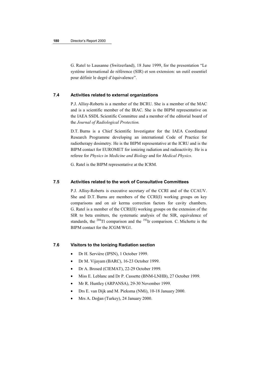G. Ratel to Lausanne (Switzerland), 18 June 1999, for the presentation "Le système international de référence (SIR) et son extension: un outil essentiel pour définir le degré d'équivalence".

### **7.4 Activities related to external organizations**

P.J. Allisy-Roberts is a member of the BCRU. She is a member of the MAC and is a scientific member of the IRAC. She is the BIPM representative on the IAEA SSDL Scientific Committee and a member of the editorial board of the *Journal of Radiological Protection.*

D.T. Burns is a Chief Scientific Investigator for the IAEA Coordinated Research Programme developing an international Code of Practice for radiotherapy dosimetry. He is the BIPM representative at the ICRU and is the BIPM contact for EUROMET for ionizing radiation and radioactivity. He is a referee for *Physics in Medicine and Biology* and for *Medical Physics*.

G. Ratel is the BIPM representative at the ICRM.

### **7.5 Activities related to the work of Consultative Committees**

P.J. Allisy-Roberts is executive secretary of the CCRI and of the CCAUV. She and D.T. Burns are members of the CCRI(I) working groups on key comparisons and on air kerma correction factors for cavity chambers. G. Ratel is a member of the CCRI(II) working groups on the extension of the SIR to beta emitters, the systematic analysis of the SIR, equivalence of standards, the  $^{204}$ Tl comparison and the  $^{192}$ Ir comparison. C. Michotte is the BIPM contact for the JCGM/WG1.

#### **7.6 Visitors to the Ionizing Radiation section**

- Dr H. Servière (IPSN), 1 October 1999.
- Dr M. Vijayam (BARC), 16-23 October 1999.
- Dr A. Brosed (CIEMAT), 22-29 October 1999.
- Miss E. Leblanc and Dr P. Cassette (BNM-LNHB), 27 October 1999.
- Mr R. Huntley (ARPANSA), 29-30 November 1999.
- Drs E. van Dijk and M. Pieksma (NMi), 10-18 January 2000.
- Mrs A. Doğan (Turkey), 24 January 2000.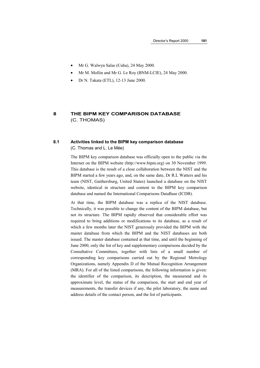- Mr G. Walwyn Salas (Cuba), 24 May 2000.
- Mr M. Mollin and Mr G. Le Roy (BNM-LCIE), 24 May 2000.
- Dr N. Takata (ETL), 12-13 June 2000.

# **8 THE BIPM KEY COMPARISON DATABASE** (C. THOMAS)

# **8.1 Activities linked to the BIPM key comparison database** (C. Thomas and L. Le Mée)

The BIPM key comparison database was officially open to the public via the Internet on the BIPM website (http://www.bipm.org) on 30 November 1999. This database is the result of a close collaboration between the NIST and the BIPM started a few years ago, and, on the same date, Dr R.L Watters and his team (NIST, Gaithersburg, United States) launched a database on the NIST website, identical in structure and content to the BIPM key comparison database and named the International Comparisons DataBase (ICDB).

At that time, the BIPM database was a replica of the NIST database. Technically, it was possible to change the content of the BIPM database, but not its structure. The BIPM rapidly observed that considerable effort was required to bring additions or modifications to its database, as a result of which a few months later the NIST generously provided the BIPM with the master database from which the BIPM and the NIST databases are both issued. The master database contained at that time, and until the beginning of June 2000, only the list of key and supplementary comparisons decided by the Consultative Committees, together with lists of a small number of corresponding key comparisons carried out by the Regional Metrology Organizations, namely Appendix D of the Mutual Recognition Arrangement (MRA). For all of the listed comparisons, the following information is given: the identifier of the comparison, its description, the measurand and its approximate level, the status of the comparison, the start and end year of measurements, the transfer devices if any, the pilot laboratory, the name and address details of the contact person, and the list of participants.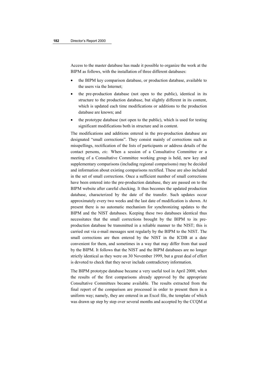Access to the master database has made it possible to organize the work at the BIPM as follows, with the installation of three different databases:

- the BIPM key comparison database, or production database, available to the users via the Internet;
- the pre-production database (not open to the public), identical in its structure to the production database, but slightly different in its content, which is updated each time modifications or additions to the production database are known; and
- the prototype database (not open to the public), which is used for testing significant modifications both in structure and in content.

The modifications and additions entered in the pre-production database are designated "small corrections". They consist mainly of corrections such as misspellings, rectification of the lists of participants or address details of the contact persons, *etc.* When a session of a Consultative Committee or a meeting of a Consultative Committee working group is held, new key and supplementary comparisons (including regional comparisons) may be decided and information about existing comparisons rectified. These are also included in the set of small corrections. Once a sufficient number of small corrections have been entered into the pre-production database, they are passed on to the BIPM website after careful checking. It thus becomes the updated production database, characterized by the date of the transfer. Such updates occur approximately every two weeks and the last date of modification is shown. At present there is no automatic mechanism for synchronizing updates to the BIPM and the NIST databases. Keeping these two databases identical thus necessitates that the small corrections brought by the BIPM to its preproduction database be transmitted in a reliable manner to the NIST; this is carried out via e-mail messages sent regularly by the BIPM to the NIST. The small corrections are then entered by the NIST in the ICDB at a date convenient for them, and sometimes in a way that may differ from that used by the BIPM. It follows that the NIST and the BIPM databases are no longer strictly identical as they were on 30 November 1999, but a great deal of effort is devoted to check that they never include contradictory information.

The BIPM prototype database became a very useful tool in April 2000, when the results of the first comparisons already approved by the appropriate Consultative Committees became available. The results extracted from the final report of the comparison are processed in order to present them in a uniform way; namely, they are entered in an Excel file, the template of which was drawn up step by step over several months and accepted by the CCQM at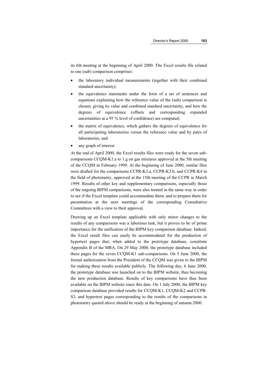its 6th meeting at the beginning of April 2000. The Excel results file related to one (sub) comparison comprises:

- the laboratory individual measurements (together with their combined standard uncertainty);
- the equivalence statements under the form of a set of sentences and equations explaining how the reference value of the (sub) comparison is chosen, giving its value and combined standard uncertainty, and how the degrees of equivalence (offsets and corresponding expanded uncertainties at a 95 % level of confidence) are computed;
- the matrix of equivalence, which gathers the degrees of equivalence for all participating laboratories versus the reference value and by pairs of laboratories; and
- any graph of interest.

At the end of April 2000, the Excel results files were ready for the seven subcomparisons CCQM-K1.a to 1.g on gas mixtures approved at the 5th meeting of the CCQM in February 1999. At the beginning of June 2000, similar files were drafted for the comparisons CCPR-K3.a, CCPR-K3.b, and CCPR-K4 in the field of photometry, approved at the 15th meeting of the CCPR in March 1999. Results of other key and supplementary comparisons, especially those of the ongoing BIPM comparisons, were also treated in the same way in order to see if the Excel template could accommodate them, and to prepare them for presentation at the next meetings of the corresponding Consultative Committees with a view to their approval.

Drawing up an Excel template applicable with only minor changes to the results of any comparisons was a laborious task, but it proves to be of prime importance for the unification of the BIPM key comparison database. Indeed, the Excel result files can easily be accommodated for the production of hypertext pages that, when added to the prototype database, constitute Appendix B of the MRA. On 29 May 2000, the prototype database included these pages for the seven CCQM-K1 sub-comparisons. On 5 June 2000, the formal authorization from the President of the CCQM was given to the BIPM for making these results available publicly. The following day, 6 June 2000, the prototype database was launched on to the BIPM website, thus becoming the new production database. Results of key comparisons have thus been available on the BIPM website since this date. On 1 July 2000, the BIPM key comparison database provided results for CCQM-K1, CCQM-K2 and CCPR-S3, and hypertext pages corresponding to the results of the comparisons in photometry quoted above should be ready at the beginning of autumn 2000.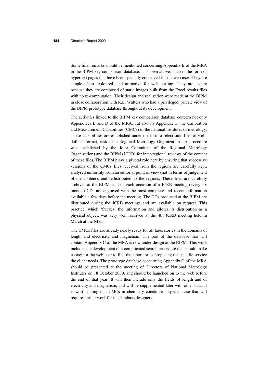Some final remarks should be mentioned concerning Appendix B of the MRA in the BIPM key comparison database: as shown above, it takes the form of hypertext pages that have been specially conceived for the web user. They are simple, short, coloured, and attractive for web surfing. They are secure because they are composed of static images built from the Excel results files with no re-computation. Their design and realization were made at the BIPM in close collaboration with R.L. Watters who had a privileged, private view of the BIPM prototype database throughout its development.

The activities linked to the BIPM key comparison database concern not only Appendices B and D of the MRA, but also its Appendix C: the Calibration and Measurement Capabilities (CMCs) of the national institutes of metrology. These capabilities are established under the form of electronic files of welldefined format, inside the Regional Metrology Organizations. A procedure was established by the Joint Committee of the Regional Metrology Organizations and the BIPM (JCRB) for inter-regional reviews of the content of these files. The BIPM plays a pivotal role here by ensuring that successive versions of the CMCs files received from the regions are carefully kept, analysed uniformly from an editorial point of view (not in terms of judgement of the content), and redistributed to the regions. These files are carefully archived at the BIPM, and on each occasion of a JCRB meeting (every six months) CDs are engraved with the most complete and recent information available a few days before the meeting. The CDs produced at the BIPM are distributed during the JCRB meetings and are available on request. This practice, which 'freezes' the information and allows its distribution as a physical object, was very well received at the 4th JCRB meeting held in March at the NIST.

The CMCs files are already nearly ready for all laboratories in the domains of length and electricity and magnetism. The part of the database that will contain Appendix C of the MRA is now under design at the BIPM. This work includes the development of a complicated search procedure that should make it easy for the web user to find the laboratories proposing the specific service the client needs. The prototype database concerning Appendix C of the MRA should be presented at the meeting of Directors of National Metrology Institutes on 18 October 2000, and should be launched on to the web before the end of that year. It will then include only the fields of length and of electricity and magnetism, and will be supplemented later with other data. It is worth noting that CMCs in chemistry constitute a special case that will require further work for the database designers.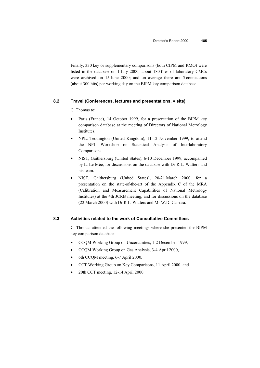Finally, 330 key or supplementary comparisons (both CIPM and RMO) were listed in the database on 1 July 2000; about 180 files of laboratory CMCs were archived on 15 June 2000; and on average there are 5 connections (about 300 hits) per working day on the BIPM key comparison database.

#### **8.2 Travel (Conferences, lectures and presentations, visits)**

C. Thomas to:

- Paris (France), 14 October 1999, for a presentation of the BIPM key comparison database at the meeting of Directors of National Metrology Institutes.
- NPL, Teddington (United Kingdom), 11-12 November 1999, to attend the NPL Workshop on Statistical Analysis of Interlaboratory Comparisons.
- NIST, Gaithersburg (United States), 6-10 December 1999, accompanied by L. Le Mée, for discussions on the database with Dr R.L. Watters and his team.
- NIST, Gaithersburg (United States), 20-21 March 2000, for a presentation on the state-of-the-art of the Appendix C of the MRA (Calibration and Measurement Capabilities of National Metrology Institutes) at the 4th JCRB meeting, and for discussions on the database (22 March 2000) with Dr R.L. Watters and Mr W.D. Camara.

## **8.3 Activities related to the work of Consultative Committees**

C. Thomas attended the following meetings where she presented the BIPM key comparison database:

- CCQM Working Group on Uncertainties, 1-2 December 1999,
- CCQM Working Group on Gas Analysis, 3-4 April 2000,
- 6th CCQM meeting, 6-7 April 2000,
- CCT Working Group on Key Comparisons, 11 April 2000, and
- 20th CCT meeting, 12-14 April 2000.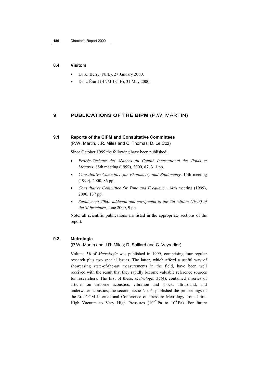#### **8.4 Visitors**

- Dr K. Berry (NPL), 27 January 2000.
- Dr L. Érard (BNM-LCIE), 31 May 2000.

#### **9 PUBLICATIONS OF THE BIPM** (P.W. MARTIN)

## **9.1 Reports of the CIPM and Consultative Committees**

(P.W. Martin, J.R. Miles and C. Thomas; D. Le Coz)

Since October 1999 the following have been published:

- *Procès-Verbaux des Séances du Comité International des Poids et Mesures*, 88th meeting (1999), 2000, **67**, 311 pp.
- *Consultative Committee for Photometry and Radiometry*, 15th meeting (1999), 2000, 86 pp.
- *Consultative Committee for Time and Frequency*, 14th meeting (1999), 2000, 137 pp.
- *Supplement 2000: addenda and corrigenda to the 7th edition (1998) of the SI brochure*, June 2000, 9 pp.

Note: all scientific publications are listed in the appropriate sections of the report.

## **9.2 Metrologia**

(P.W. Martin and J.R. Miles; D. Saillard and C. Veyradier)

Volume **36** of *Metrologia* was published in 1999, comprising four regular research plus two special issues. The latter, which afford a useful way of showcasing state-of-the-art measurements in the field, have been well received with the result that they rapidly become valuable reference sources for researchers. The first of these, *Metrologia* **37**(4), contained a series of articles on airborne acoustics, vibration and shock, ultrasound, and underwater acoustics; the second, issue No. 6, published the proceedings of the 3rd CCM International Conference on Pressure Metrology from Ultra-High Vacuum to Very High Pressures ( $10^{-7}$  Pa to  $10^{9}$  Pa). For future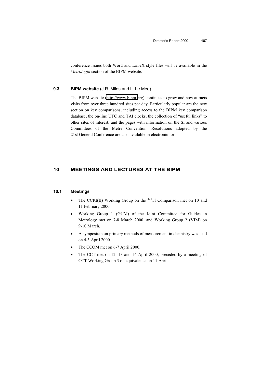conference issues both Word and LaTeX style files will be available in the *Metrologia* section of the BIPM website.

## **9.3 BIPM website** (J.R. Miles and L. Le Mée)

The BIPM website [\(http://www.bipm.o](http://www.bipm.fr/)rg) continues to grow and now attracts visits from over three hundred sites per day. Particularly popular are the new section on key comparisons, including access to the BIPM key comparison database, the on-line UTC and TAI clocks, the collection of "useful links" to other sites of interest, and the pages with information on the SI and various Committees of the Metre Convention. Resolutions adopted by the 21st General Conference are also available in electronic form.

## **10 MEETINGS AND LECTURES AT THE BIPM**

#### **10.1 Meetings**

- The CCRI(II) Working Group on the <sup>204</sup>Tl Comparison met on 10 and 11 February 2000.
- Working Group 1 (GUM) of the Joint Committee for Guides in Metrology met on 7-8 March 2000, and Working Group 2 (VIM) on 9-10 March.
- A symposium on primary methods of measurement in chemistry was held on 4-5 April 2000.
- The CCQM met on 6-7 April 2000.
- The CCT met on 12, 13 and 14 April 2000, preceded by a meeting of CCT Working Group 3 on equivalence on 11 April.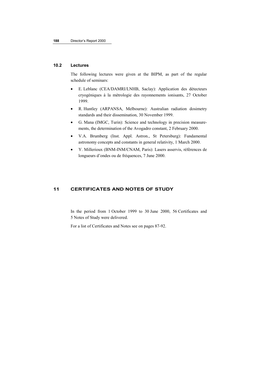## **10.2 Lectures**

The following lectures were given at the BIPM, as part of the regular schedule of seminars:

- E. Leblanc (CEA/DAMRI/LNHB, Saclay): Application des détecteurs cryogéniques à la métrologie des rayonnements ionisants, 27 October 1999.
- R. Huntley (ARPANSA, Melbourne): Australian radiation dosimetry standards and their dissemination, 30 November 1999.
- G. Mana (IMGC, Turin): Science and technology in precision measurements, the determination of the Avogadro constant, 2 February 2000.
- V.A. Brumberg (Inst. Appl. Astron., St Petersburg): Fundamental astronomy concepts and constants in general relativity, 1 March 2000.
- Y. Millerioux (BNM-INM/CNAM, Paris): Lasers asservis, références de longueurs d'ondes ou de fréquences, 7 June 2000.

## **11 CERTIFICATES AND NOTES OF STUDY**

In the period from 1 October 1999 to 30 June 2000, 56 Certificates and 5 Notes of Study were delivered.

For a list of Certificates and Notes see on pages 87-92.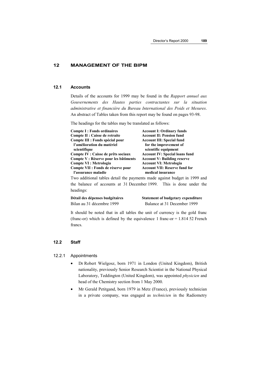### **12 MANAGEMENT OF THE BIPM**

#### **12.1 Accounts**

Details of the accounts for 1999 may be found in the *Rapport annuel aux Gouvernements des Hautes parties contractantes sur la situation administrative et financière du Bureau International des Poids et Mesures*. An abstract of Tables taken from this report may be found on pages 93-98.

The headings for the tables may be translated as follows:

| <b>Compte I: Fonds ordinaires</b>     | <b>Account I: Ordinary funds</b>      |
|---------------------------------------|---------------------------------------|
| Compte II : Caisse de retraite        | <b>Account II: Pension fund</b>       |
| Compte III : Fonds spécial pour       | <b>Account III: Special fund</b>      |
| l'amélioration du matériel            | for the improvement of                |
| scientifique                          | scientific equipment                  |
| Compte IV : Caisse de prêts sociaux   | <b>Account IV: Special loans fund</b> |
| Compte V : Réserve pour les bâtiments | <b>Account V: Building reserve</b>    |
| Compte VI : Metrologia                | <b>Account VI: Metrologia</b>         |
| Compte VII : Fonds de réserve pour    | <b>Account VII: Reserve fund for</b>  |
| l'assurance maladie                   | medical insurance                     |

Two additional tables detail the payments made against budget in 1999 and the balance of accounts at 31 December 1999. This is done under the headings:

**Détail des dépenses budgétaires Statement of budgetary expenditure** Bilan au 31 décembre 1999 Balance at 31 December 1999

It should be noted that in all tables the unit of currency is the gold franc (franc-or) which is defined by the equivalence 1 franc-or  $= 1.81452$  French francs.

## **12.2 Staff**

## 12.2.1 Appointments

- Dr Robert Wielgosz, born 1971 in London (United Kingdom), British nationality, previously Senior Research Scientist in the National Physical Laboratory, Teddington (United Kingdom), was appointed *physicien* and head of the Chemistry section from 1 May 2000.
- Mr Gerald Petitgand, born 1979 in Metz (France), previously technician in a private company, was engaged as *technicien* in the Radiometry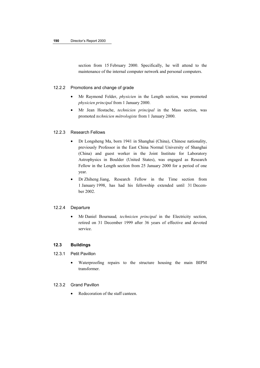section from 15 February 2000. Specifically, he will attend to the maintenance of the internal computer network and personal computers.

#### 12.2.2 Promotions and change of grade

- Mr Raymond Felder, *physicien* in the Length section, was promoted *physicien principal* from 1 January 2000.
- Mr Jean Hostache, *technicien principal* in the Mass section, was promoted *technicien métrologiste* from 1 January 2000.

#### 12.2.3 Research Fellows

- Dr Longsheng Ma, born 1941 in Shanghai (China), Chinese nationality, previously Professor in the East China Normal University of Shanghai (China) and guest worker in the Joint Institute for Laboratory Astrophysics in Boulder (United States), was engaged as Research Fellow in the Length section from 25 January 2000 for a period of one year.
- Dr Zhiheng Jiang, Research Fellow in the Time section from 1 January 1998, has had his fellowship extended until 31 December 2002.

### 12.2.4 Departure

• Mr Daniel Bournaud*, technicien principal* in the Electricity section, retired on 31 December 1999 after 36 years of effective and devoted service.

## **12.3 Buildings**

- 12.3.1 Petit Pavillon
	- Waterproofing repairs to the structure housing the main BIPM transformer.

## 12.3.2 Grand Pavillon

• Redecoration of the staff canteen.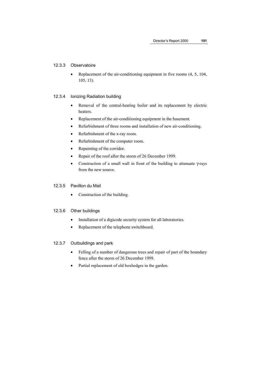## 12.3.3 Observatoire

• Replacement of the air-conditioning equipment in five rooms  $(4, 5, 104, 100)$ 105, 13).

#### 12.3.4 Ionizing Radiation building

- Removal of the central-heating boiler and its replacement by electric heaters.
- Replacement of the air-conditioning equipment in the basement.
- Refurbishment of three rooms and installation of new air-conditioning.
- Refurbishment of the x-ray room.
- Refurbishment of the computer room.
- Repainting of the corridor.
- Repair of the roof after the storm of 26 December 1999.
- Construction of a small wall in front of the building to attenuate γ-rays from the new source.

## 12.3.5 Pavillon du Mail

• Construction of the building.

#### 12.3.6 Other buildings

- Installation of a digicode security system for all laboratories.
- Replacement of the telephone switchboard.

### 12.3.7 Outbuildings and park

- Felling of a number of dangerous trees and repair of part of the boundary fence after the storm of 26 December 1999.
- Partial replacement of old boxhedges in the garden.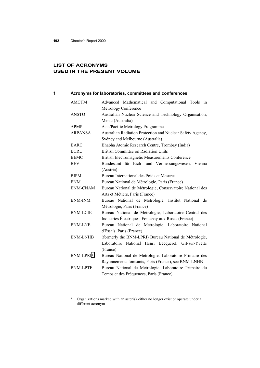$\overline{a}$ 

# **LIST OF ACRONYMS USED IN THE PRESENT VOLUME**

## **1 Acronyms for laboratories, committees and conferences**

| <b>AMCTM</b>     | Advanced Mathematical and Computational Tools in           |
|------------------|------------------------------------------------------------|
|                  | Metrology Conference                                       |
| <b>ANSTO</b>     | Australian Nuclear Science and Technology Organisation,    |
|                  | Menai (Australia)                                          |
| <b>APMP</b>      | Asia/Pacific Metrology Programme                           |
| <b>ARPANSA</b>   | Australian Radiation Protection and Nuclear Safety Agency, |
|                  | Sydney and Melbourne (Australia)                           |
| <b>BARC</b>      | Bhabha Atomic Research Centre, Trombay (India)             |
| <b>BCRU</b>      | British Committee on Radiation Units                       |
| <b>BEMC</b>      | British Electromagnetic Measurements Conference            |
| <b>BEV</b>       | Bundesamt für Eich- und Vermessungswesen, Vienna           |
|                  | (Austria)                                                  |
| <b>BIPM</b>      | Bureau International des Poids et Mesures                  |
| <b>BNM</b>       | Bureau National de Métrologie, Paris (France)              |
| <b>BNM-CNAM</b>  | Bureau National de Métrologie, Conservatoire National des  |
|                  | Arts et Métiers, Paris (France)                            |
| <b>BNM-INM</b>   | Bureau National de Métrologie, Institut National de        |
|                  | Métrologie, Paris (France)                                 |
| <b>BNM-LCIE</b>  | Bureau National de Métrologie, Laboratoire Central des     |
|                  | Industries Electriques, Fontenay-aux-Roses (France)        |
| <b>BNM-LNE</b>   | Bureau National de Métrologie, Laboratoire National        |
|                  | d'Essais, Paris (France)                                   |
| <b>BNM-LNHB</b>  | (formerly the BNM-LPRI) Bureau National de Métrologie,     |
|                  | Laboratoire National Henri Becquerel, Gif-sur-Yvette       |
|                  | (France)                                                   |
| <b>BNM-LPRI*</b> | Bureau National de Métrologie, Laboratoire Primaire des    |
|                  | Rayonnements Ionisants, Paris (France), see BNM-LNHB       |
| <b>BNM-LPTF</b>  | Bureau National de Métrologie, Laboratoire Primaire du     |
|                  | Temps et des Fréquences, Paris (France)                    |
|                  |                                                            |

<sup>\*</sup> Organizations marked with an asterisk either no longer exist or operate under a different acronym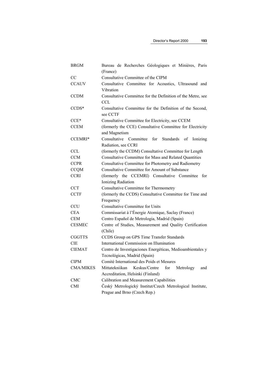| <b>BRGM</b>      | Bureau de Recherches Géologiques et Minières, Paris             |
|------------------|-----------------------------------------------------------------|
|                  | (France)                                                        |
| CC               | Consultative Committee of the CIPM                              |
| <b>CCAUV</b>     | Consultative Committee for Acoustics, Ultrasound and            |
|                  | Vibration                                                       |
| <b>CCDM</b>      | Consultative Committee for the Definition of the Metre, see     |
|                  | CCL                                                             |
| $CCDS*$          | Consultative Committee for the Definition of the Second,        |
|                  | see CCTF                                                        |
| $CCE*$           | Consultative Committee for Electricity, see CCEM                |
| <b>CCEM</b>      | (formerly the CCE) Consultative Committee for Electricity       |
|                  | and Magnetism                                                   |
| CCEMRI*          | Consultative<br>Committee<br>for<br>Standards<br>of<br>Ionizing |
|                  | Radiation, see CCRI                                             |
| <b>CCL</b>       | (formerly the CCDM) Consultative Committee for Length           |
| <b>CCM</b>       | <b>Consultative Committee for Mass and Related Quantities</b>   |
| <b>CCPR</b>      | Consultative Committee for Photometry and Radiometry            |
| <b>CCQM</b>      | Consultative Committee for Amount of Substance                  |
| <b>CCRI</b>      | (formerly the CCEMRI) Consultative Committee for                |
|                  | Ionizing Radiation                                              |
| <b>CCT</b>       | Consultative Committee for Thermometry                          |
| <b>CCTF</b>      | (formerly the CCDS) Consultative Committee for Time and         |
|                  | Frequency                                                       |
| <b>CCU</b>       | <b>Consultative Committee for Units</b>                         |
| <b>CEA</b>       | Commissariat à l'Énergie Atomique, Saclay (France)              |
| <b>CEM</b>       | Centro Español de Metrologia, Madrid (Spain)                    |
| <b>CESMEC</b>    | Centre of Studies, Measurement and Quality Certification        |
|                  | (Chile)                                                         |
| <b>CGGTTS</b>    | CCDS Group on GPS Time Transfer Standards                       |
| <b>CIE</b>       | International Commission on Illumination                        |
| <b>CIEMAT</b>    | Centro de Investigaciones Energéticas, Medioambientales y       |
|                  | Tecnológicas, Madrid (Spain)                                    |
| <b>CIPM</b>      | Comité International des Poids et Mesures                       |
| <b>CMA/MIKES</b> | Mittatekniikan<br>Keskus/Centre<br>for<br>Metrology<br>and      |
|                  | Accreditation, Helsinki (Finland)                               |
| <b>CMC</b>       | Calibration and Measurement Capabilities                        |
| <b>CMI</b>       | Český Metrologický Institut/Czech Metrological Institute,       |
|                  | Prague and Brno (Czech Rep.)                                    |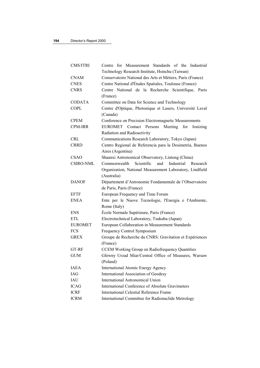| CMS/ITRI         | Centre for Measurement Standards of the Industrial          |
|------------------|-------------------------------------------------------------|
|                  | Technology Research Institute, Hsinchu (Taiwan)             |
| <b>CNAM</b>      | Conservatoire National des Arts et Métiers, Paris (France)  |
| <b>CNES</b>      | Centre National d'Études Spatiales, Toulouse (France)       |
| <b>CNRS</b>      | Centre National de la Recherche Scientifique, Paris         |
|                  | (France)                                                    |
| <b>CODATA</b>    | Committee on Data for Science and Technology                |
| <b>COPL</b>      | Centre d'Optique, Photonique et Lasers, Université Laval    |
|                  | (Canada)                                                    |
| <b>CPEM</b>      | Conference on Precision Electromagnetic Measurements        |
| CPM-IRR          | EUROMET Contact Persons<br>Meeting<br>for<br>Ionizing       |
|                  | Radiation and Radioactivity                                 |
| <b>CRL</b>       | Communications Research Laboratory, Tokyo (Japan)           |
| <b>CRRD</b>      | Centro Regional de Referencia para la Dosimetria, Buenos    |
|                  | Aires (Argentina)                                           |
| <b>CSAO</b>      | Shaanxi Astronomical Observatory, Lintong (China)           |
| <b>CSIRO-NML</b> | Scientific<br>and<br>Industrial<br>Commonwealth<br>Research |
|                  | Organization, National Measurement Laboratory, Lindfield    |
|                  | (Australia)                                                 |
| <b>DANOF</b>     | Département d'Astronomie Fondamentale de l'Observatoire     |
|                  | de Paris, Paris (France)                                    |
| <b>EFTF</b>      | European Frequency and Time Forum                           |
| <b>ENEA</b>      | Ente per le Nuove Tecnologie, l'Energia e l'Ambiente,       |
|                  | Rome (Italy)                                                |
| <b>ENS</b>       | École Normale Supérieure, Paris (France)                    |
| <b>ETL</b>       | Electrotechnical Laboratory, Tsukuba (Japan)                |
| <b>EUROMET</b>   | European Collaboration in Measurement Standards             |
| <b>FCS</b>       | Frequency Control Symposium                                 |
| <b>GREX</b>      | Groupe de Recherche du CNRS: Gravitation et Expériences     |
|                  | (France)                                                    |
| GT-RF            | CCEM Working Group on Radiofrequency Quantities             |
| <b>GUM</b>       | Glówny Urzad Miar/Central Office of Measures, Warsaw        |
|                  | (Poland)                                                    |
| <b>IAEA</b>      | <b>International Atomic Energy Agency</b>                   |
| IAG              | International Association of Geodesy                        |
| IAU              | <b>International Astronomical Union</b>                     |
| <b>ICAG</b>      | International Conference of Absolute Gravimeters            |
| <b>ICRF</b>      | <b>International Celestial Reference Frame</b>              |
| <b>ICRM</b>      | International Committee for Radionuclide Metrology          |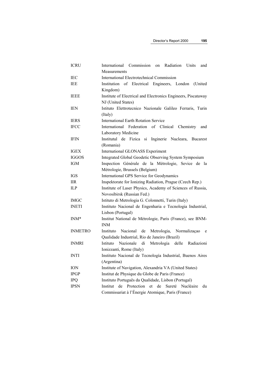| <b>ICRU</b>      | Commission<br>Radiation<br>International<br>Units<br>and<br>on        |
|------------------|-----------------------------------------------------------------------|
|                  | Measurements                                                          |
| IEC              | <b>International Electrotechnical Commission</b>                      |
| IEE              | Institution of Electrical Engineers, London<br>(United)               |
|                  | Kingdom)                                                              |
| <b>IEEE</b>      | Institute of Electrical and Electronics Engineers, Piscataway         |
|                  | NJ (United States)                                                    |
| <b>IEN</b>       | Istituto Elettrotecnico Nazionale Galileo Ferraris, Turin             |
|                  | (Italy)                                                               |
| <b>IERS</b>      | <b>International Earth Rotation Service</b>                           |
| <b>IFCC</b>      | International Federation of<br>Clinical<br>Chemistry<br>and           |
|                  | Laboratory Medicine                                                   |
| <b>IFIN</b>      | Institutul de Fizica<br>si Inginerie Nucleara,<br><b>Bucarest</b>     |
|                  | (Romania)                                                             |
| <b>IGEX</b>      | International GLONASS Experiment                                      |
| <b>IGGOS</b>     | Integrated Global Geodetic Observing System Symposium                 |
| <b>IGM</b>       | Inspection Générale de la Métrologie, Sevice de la                    |
|                  | Métrologie, Brussels (Belgium)                                        |
| <b>IGS</b>       | International GPS Service for Geodynamics                             |
| <b>IIR</b>       | Inspektorate for Ionizing Radiation, Prague (Czech Rep.)              |
| ILP              | Institute of Laser Physics, Academy of Sciences of Russia,            |
|                  | Novosibirsk (Russian Fed.)                                            |
| <b>IMGC</b>      | Istituto di Metrologia G. Colonnetti, Turin (Italy)                   |
| <b>INETI</b>     | Instituto Nacional de Engenharia e Tecnologia Industrial,             |
|                  | Lisbon (Portugal)                                                     |
| INM <sup>*</sup> | Institut National de Métrologie, Paris (France), see BNM-             |
|                  | <b>INM</b>                                                            |
| <b>INMETRO</b>   | Nacional<br>de<br>Metrologia, Normalização<br>Instituto<br>e          |
|                  | Qualidade Industrial, Rio de Janeiro (Brazil)                         |
| <b>INMRI</b>     | Nazionale<br>di<br>Metrologia delle Radiazioni<br>Istituto            |
|                  | Ionizzanti, Rome (Italy)                                              |
| <b>INTI</b>      | Instituto Nacional de Tecnología Industrial, Buenos Aires             |
|                  | (Argentina)                                                           |
| <b>ION</b>       | Institute of Navigation, Alexandria VA (United States)                |
| <b>IPGP</b>      | Institut de Physique du Globe de Paris (France)                       |
| <b>IPQ</b>       | Instituto Português da Qualidade, Lisbon (Portugal)                   |
| <b>IPSN</b>      | de<br>Protection<br>de<br>Sureté<br>Institut<br>et<br>Nucléaire<br>du |
|                  | Commissariat à l'Énergie Atomique, Paris (France)                     |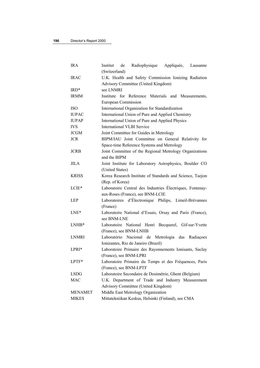| <b>IRA</b>     | Radiophysique<br>Institut<br>Appliquée,<br>de<br>Lausanne    |
|----------------|--------------------------------------------------------------|
|                | (Switzerland)                                                |
| <b>IRAC</b>    | U.K. Health and Safety Commission Ionizing Radiation         |
|                | Advisory Committee (United Kingdom)                          |
| $IRD*$         | see LNMRI                                                    |
| <b>IRMM</b>    | for Reference Materials<br>Institute<br>Measurements,<br>and |
|                | European Commission                                          |
| <b>ISO</b>     | International Organization for Standardization               |
| <b>IUPAC</b>   | International Union of Pure and Applied Chemistry            |
| <b>IUPAP</b>   | International Union of Pure and Applied Physics              |
| IVS            | International VLBI Service                                   |
| <b>JCGM</b>    | Joint Committee for Guides in Metrology                      |
| <b>JCR</b>     | BIPM/IAU Joint Committee on General Relativity for           |
|                | Space-time Reference Systems and Metrology                   |
| <b>JCRB</b>    | Joint Committee of the Regional Metrology Organizations      |
|                | and the BIPM                                                 |
| <b>JILA</b>    | Joint Institute for Laboratory Astrophysics, Boulder CO      |
|                | (United States)                                              |
| <b>KRISS</b>   | Korea Research Institute of Standards and Science, Taejon    |
|                | (Rep. of Korea)                                              |
| $LCIE*$        | Laboratoire Central des Industries Électriques, Fontenay-    |
|                | aux-Roses (France), see BNM-LCIE                             |
| <b>LEP</b>     | Laboratoires d'Électronique Philips, Limeil-Brévannes        |
|                | (France)                                                     |
| $LNE*$         | Laboratoire National d'Essais, Orsay and Paris (France),     |
|                | see BNM-LNE                                                  |
| $LNHB*$        | Laboratoire National Henri Becquerel, Gif-sur-Yvette         |
|                | (France), see BNM-LNHB                                       |
| <b>LNMRI</b>   | Laboratório Nacional de Metrologia das<br>Radiações          |
|                | Ionizantes, Rio de Janeiro (Brazil)                          |
| LPRI*          | Laboratoire Primaire des Rayonnements Ionisants, Saclay      |
|                | (France), see BNM-LPRI                                       |
| $LPTF*$        | Laboratoire Primaire du Temps et des Fréquences, Paris       |
|                | (France), see BNM-LPTF                                       |
| <b>LSDG</b>    | Laboratoire Secondaire de Dosimétrie, Ghent (Belgium)        |
| <b>MAC</b>     | U.K. Department of Trade and Industry Measurement            |
|                | Advisory Committee (United Kingdom)                          |
| <b>MENAMET</b> | Middle East Metrology Organization                           |
| <b>MIKES</b>   | Mittatekniikan Keskus, Helsinki (Finland), see CMA           |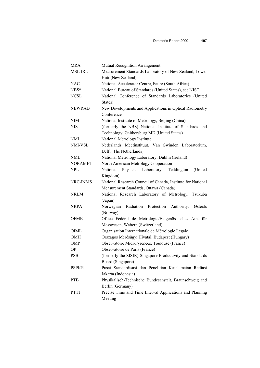| MRA            | Mutual Recognition Arrangement                               |  |
|----------------|--------------------------------------------------------------|--|
| <b>MSL-IRL</b> | Measurement Standards Laboratory of New Zealand, Lower       |  |
|                | Hutt (New Zealand)                                           |  |
| NAC            | National Accelerator Centre, Faure (South Africa)            |  |
| NBS*           | National Bureau of Standards (United States), see NIST       |  |
| <b>NCSL</b>    | National Conference of Standards Laboratories (United        |  |
|                | States)                                                      |  |
| <b>NEWRAD</b>  | New Developments and Applications in Optical Radiometry      |  |
|                | Conference                                                   |  |
| NIM            | National Institute of Metrology, Beijing (China)             |  |
| NIST           | (formerly the NBS) National Institute of Standards and       |  |
|                | Technology, Gaithersburg MD (United States)                  |  |
| NMI            | National Metrology Institute                                 |  |
| NMi-VSL        | Nederlands Meetinstituut, Van Swinden Laboratorium,          |  |
|                | Delft (The Netherlands)                                      |  |
| NML            | National Metrology Laboratory, Dublin (Ireland)              |  |
| <b>NORAMET</b> | North American Metrology Cooperation                         |  |
| NPL            | National<br>Physical<br>Teddington<br>(United<br>Laboratory, |  |
|                | Kingdom)                                                     |  |
| NRC-INMS       | National Research Council of Canada, Institute for National  |  |
|                | Measurement Standards, Ottawa (Canada)                       |  |
| NRLM           | National Research Laboratory of Metrology, Tsukuba           |  |
|                | (Japan)                                                      |  |
| NRPA           | Norwegian<br>Radiation Protection<br>Authority,<br>Østerås   |  |
|                | (Norway)                                                     |  |
| <b>OFMET</b>   | Office Fédéral de Métrologie/Eidgenössisches Amt für         |  |
|                | Messwesen, Wabern (Switzerland)                              |  |
| OIML           | Organisation Internationale de Métrologie Légale             |  |
| OMH            | Országos Mérésügyi Hivatal, Budapest (Hungary)               |  |
| OMP            | Observatoire Midi-Pyrénées, Toulouse (France)                |  |
| ОP             | Observatoire de Paris (France)                               |  |
| PSB            | (formerly the SISIR) Singapore Productivity and Standards    |  |
|                | Board (Singapore)                                            |  |
| <b>PSPKR</b>   | Pusat Standardisasi dan Penelitian Keselamatan Radiasi       |  |
|                | Jakarta (Indonesia)                                          |  |
| <b>PTB</b>     | Physikalisch-Technische Bundesanstalt, Braunschweig and      |  |
|                | Berlin (Germany)                                             |  |
| <b>PTTI</b>    | Precise Time and Time Interval Applications and Planning     |  |
|                | Meeting                                                      |  |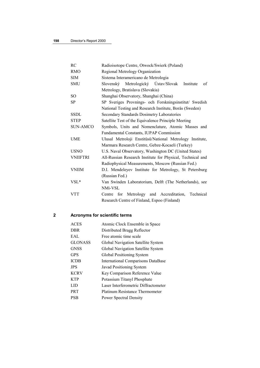| RC              | Radioisotope Centre, Otwock/Swierk (Poland)                |
|-----------------|------------------------------------------------------------|
| <b>RMO</b>      | Regional Metrology Organization                            |
| <b>SIM</b>      | Sistema Interamericano de Metrologia                       |
| <b>SMU</b>      | Slovenský Metrologický Ústav/Slovak<br>of<br>Institute     |
|                 | Metrology, Bratislava (Slovakia)                           |
| <sub>SO</sub>   | Shanghai Observatory, Shanghai (China)                     |
| SP              | SP Sveriges Provnings- och Forskningsinstitut/ Swedish     |
|                 | National Testing and Research Institute, Borås (Sweden)    |
| <b>SSDL</b>     | Secondary Standards Dosimetry Laboratories                 |
| <b>STEP</b>     | Satellite Test of the Equivalence Principle Meeting        |
| <b>SUN-AMCO</b> | Symbols, Units and Nomenclature, Atomic Masses and         |
|                 | Fundamental Constants, IUPAP Commission                    |
| <b>UME</b>      | Ulusal Metroloji Enstitüsü/National Metrology Institute,   |
|                 | Marmara Research Centre, Gebze-Kocaeli (Turkey)            |
| <b>USNO</b>     | U.S. Naval Observatory, Washington DC (United States)      |
| <b>VNIIFTRI</b> | All-Russian Research Institute for Physical, Technical and |
|                 | Radiophysical Measurements, Moscow (Russian Fed.)          |
| <b>VNIIM</b>    | D.I. Mendeleyev Institute for Metrology, St Petersburg     |
|                 | (Russian Fed.)                                             |
| $VSL^*$         | Van Swinden Laboratorium, Delft (The Netherlands), see     |
|                 | NMi-VSL                                                    |
| <b>VTT</b>      | for Metrology and Accreditation,<br>Technical<br>Centre    |
|                 | Research Centre of Finland, Espoo (Finland)                |
|                 |                                                            |

# **2 Acronyms for scientific terms**

| <b>ACES</b>    | Atomic Clock Ensemble in Space            |
|----------------|-------------------------------------------|
| <b>DBR</b>     | Distributed Bragg Reflector               |
| EAL            | Free atomic time scale                    |
| <b>GLONASS</b> | Global Navigation Satellite System        |
| <b>GNSS</b>    | Global Navigation Satellite System        |
| <b>GPS</b>     | Global Positioning System                 |
| <b>ICDB</b>    | <b>International Comparisons DataBase</b> |
| <b>JPS</b>     | Javad Positioning System                  |
| <b>KCRV</b>    | Key Comparison Reference Value            |
| <b>KTP</b>     | Potassium Titanyl Phosphate               |
| LID            | Laser Interferometric Diffractometer      |
| <b>PRT</b>     | Platinum Resistance Thermometer           |
| <b>PSB</b>     | <b>Power Spectral Density</b>             |